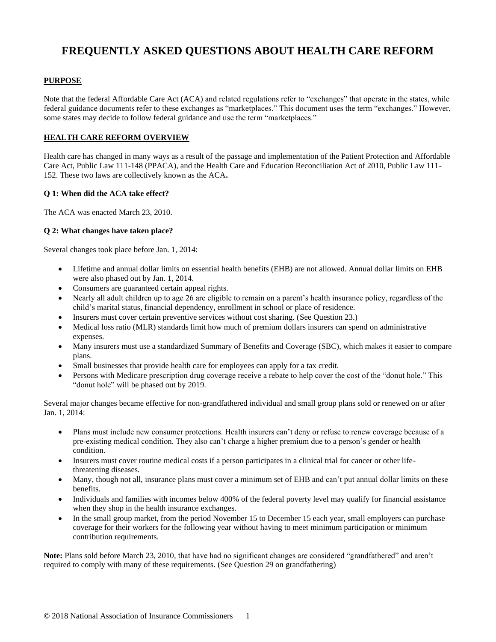# **FREQUENTLY ASKED QUESTIONS ABOUT HEALTH CARE REFORM**

# **PURPOSE**

Note that the federal Affordable Care Act (ACA) and related regulations refer to "exchanges" that operate in the states, while federal guidance documents refer to these exchanges as "marketplaces." This document uses the term "exchanges." However, some states may decide to follow federal guidance and use the term "marketplaces."

## **HEALTH CARE REFORM OVERVIEW**

Health care has changed in many ways as a result of the passage and implementation of the Patient Protection and Affordable Care Act, Public Law 111-148 (PPACA), and the Health Care and Education Reconciliation Act of 2010, Public Law 111- 152. These two laws are collectively known as the ACA**.**

## **Q 1: When did the ACA take effect?**

The ACA was enacted March 23, 2010.

## **Q 2: What changes have taken place?**

Several changes took place before Jan. 1, 2014:

- Lifetime and annual dollar limits on essential health benefits (EHB) are not allowed. Annual dollar limits on EHB were also phased out by Jan. 1, 2014.
- Consumers are guaranteed certain appeal rights.
- Nearly all adult children up to age 26 are eligible to remain on a parent's health insurance policy, regardless of the child's marital status, financial dependency, enrollment in school or place of residence.
- Insurers must cover certain preventive services without cost sharing. (See Question 23.)
- Medical loss ratio (MLR) standards limit how much of premium dollars insurers can spend on administrative expenses.
- Many insurers must use a standardized Summary of Benefits and Coverage (SBC), which makes it easier to compare plans.
- Small businesses that provide health care for employees can apply for a tax credit.
- Persons with Medicare prescription drug coverage receive a rebate to help cover the cost of the "donut hole." This "donut hole" will be phased out by 2019.

Several major changes became effective for non-grandfathered individual and small group plans sold or renewed on or after Jan. 1, 2014:

- Plans must include new consumer protections. Health insurers can't deny or refuse to renew coverage because of a pre-existing medical condition. They also can't charge a higher premium due to a person's gender or health condition.
- Insurers must cover routine medical costs if a person participates in a clinical trial for cancer or other lifethreatening diseases.
- Many, though not all, insurance plans must cover a minimum set of EHB and can't put annual dollar limits on these benefits.
- Individuals and families with incomes below 400% of the federal poverty level may qualify for financial assistance when they shop in the health insurance exchanges.
- In the small group market, from the period November 15 to December 15 each year, small employers can purchase coverage for their workers for the following year without having to meet minimum participation or minimum contribution requirements.

**Note:** Plans sold before March 23, 2010, that have had no significant changes are considered "grandfathered" and aren't required to comply with many of these requirements. (See Question 29 on grandfathering)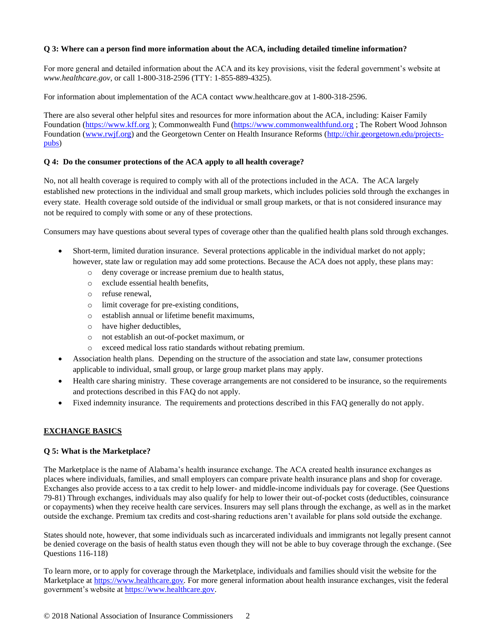## **Q 3: Where can a person find more information about the ACA, including detailed timeline information?**

For more general and detailed information about the ACA and its key provisions, visit the federal government's website at *www.healthcare.gov*, or call 1-800-318-2596 (TTY: 1-855-889-4325).

For information about implementation of the ACA contact www.healthcare.gov at 1-800-318-2596.

There are also several other helpful sites and resources for more information about the ACA, including: Kaiser Family Foundation [\(https://www.kff.org](https://www.kff.org/) ); Commonwealth Fund [\(https://www.commonwealthfund.org](https://www.commonwealthfund.org/) ; The Robert Wood Johnson Foundation [\(www.rwjf.org\)](http://www.rwjf.org/) and the Georgetown Center on Health Insurance Reforms [\(http://chir.georgetown.edu/projects](http://chir.georgetown.edu/projects-pubs)[pubs\)](http://chir.georgetown.edu/projects-pubs)

# **Q 4: Do the consumer protections of the ACA apply to all health coverage?**

No, not all health coverage is required to comply with all of the protections included in the ACA. The ACA largely established new protections in the individual and small group markets, which includes policies sold through the exchanges in every state. Health coverage sold outside of the individual or small group markets, or that is not considered insurance may not be required to comply with some or any of these protections.

Consumers may have questions about several types of coverage other than the qualified health plans sold through exchanges.

- Short-term, limited duration insurance. Several protections applicable in the individual market do not apply; however, state law or regulation may add some protections. Because the ACA does not apply, these plans may:
	- o deny coverage or increase premium due to health status,
	- o exclude essential health benefits,
	- o refuse renewal,
	- o limit coverage for pre-existing conditions,
	- o establish annual or lifetime benefit maximums,
	- o have higher deductibles,
	- o not establish an out-of-pocket maximum, or
	- o exceed medical loss ratio standards without rebating premium.
- Association health plans. Depending on the structure of the association and state law, consumer protections applicable to individual, small group, or large group market plans may apply.
- Health care sharing ministry. These coverage arrangements are not considered to be insurance, so the requirements and protections described in this FAQ do not apply.
- Fixed indemnity insurance. The requirements and protections described in this FAQ generally do not apply.

# **EXCHANGE BASICS**

## **Q 5: What is the Marketplace?**

The Marketplace is the name of Alabama's health insurance exchange. The ACA created health insurance exchanges as places where individuals, families, and small employers can compare private health insurance plans and shop for coverage. Exchanges also provide access to a tax credit to help lower- and middle-income individuals pay for coverage. (See Questions 79-81) Through exchanges, individuals may also qualify for help to lower their out-of-pocket costs (deductibles, coinsurance or copayments) when they receive health care services. Insurers may sell plans through the exchange, as well as in the market outside the exchange. Premium tax credits and cost-sharing reductions aren't available for plans sold outside the exchange.

States should note, however, that some individuals such as incarcerated individuals and immigrants not legally present cannot be denied coverage on the basis of health status even though they will not be able to buy coverage through the exchange. (See Questions 116-118)

To learn more, or to apply for coverage through the Marketplace, individuals and families should visit the website for the Marketplace at [https://www.healthcare.gov](https://www.healthcare.gov/)*.* For more general information about health insurance exchanges, visit the federal government's website at [https://www.healthcare.gov.](https://www.healthcare.gov/)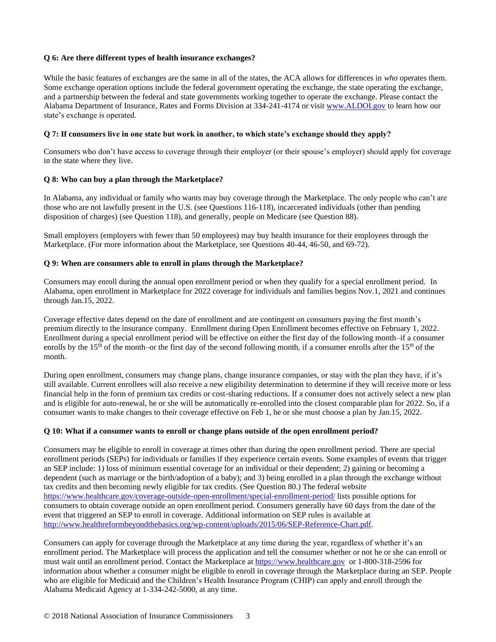# **Q 6: Are there different types of health insurance exchanges?**

While the basic features of exchanges are the same in all of the states, the ACA allows for differences in *who* operates them. Some exchange operation options include the federal government operating the exchange, the state operating the exchange, and a partnership between the federal and state governments working together to operate the exchange. Please contact the Alabama Department of Insurance, Rates and Forms Division at 334-241-4174 or visit [www.ALDOI.gov](http://www.aldoi.gov/) to learn how our state's exchange is operated.

## **Q 7: If consumers live in one state but work in another, to which state's exchange should they apply?**

Consumers who don't have access to coverage through their employer (or their spouse's employer) should apply for coverage in the state where they live.

## **Q 8: Who can buy a plan through the Marketplace?**

In Alabama, any individual or family who wants may buy coverage through the Marketplace. The only people who can't are those who are not lawfully present in the U.S. (see Questions 116-118), incarcerated individuals (other than pending disposition of charges) (see Question 118), and generally, people on Medicare (see Question 88).

Small employers (employers with fewer than 50 employees) may buy health insurance for their employees through the Marketplace. (For more information about the Marketplace, see Questions 40-44, 46-50, and 69-72).

#### **Q 9: When are consumers able to enroll in plans through the Marketplace?**

Consumers may enroll during the annual open enrollment period or when they qualify for a special enrollment period. In Alabama, open enrollment in Marketplace for 2022 coverage for individuals and families begins Nov.1, 2021 and continues through Jan.15, 2022.

Coverage effective dates depend on the date of enrollment and are contingent on consumers paying the first month's premium directly to the insurance company. Enrollment during Open Enrollment becomes effective on February 1, 2022. Enrollment during a special enrollment period will be effective on either the first day of the following month–if a consumer enrolls by the 15<sup>th</sup> of the month–or the first day of the second following month, if a consumer enrolls after the 15<sup>th</sup> of the month.

During open enrollment, consumers may change plans, change insurance companies, or stay with the plan they have, if it's still available. Current enrollees will also receive a new eligibility determination to determine if they will receive more or less financial help in the form of premium tax credits or cost-sharing reductions. If a consumer does not actively select a new plan and is eligible for auto-renewal, he or she will be automatically re-enrolled into the closest comparable plan for 2022. So, if a consumer wants to make changes to their coverage effective on Feb 1, he or she must choose a plan by Jan.15, 2022.

## **Q 10: What if a consumer wants to enroll or change plans outside of the open enrollment period?**

Consumers may be eligible to enroll in coverage at times other than during the open enrollment period. There are special enrollment periods (SEPs) for individuals or families if they experience certain events. Some examples of events that trigger an SEP include: 1) loss of minimum essential coverage for an individual or their dependent; 2) gaining or becoming a dependent (such as marriage or the birth/adoption of a baby); and 3) being enrolled in a plan through the exchange without tax credits and then becoming newly eligible for tax credits. (See Question 80.) The federal website <https://www.healthcare.gov/coverage-outside-open-enrollment/special-enrollment-period/> lists possible options for consumers to obtain coverage outside an open enrollment period. Consumers generally have 60 days from the date of the event that triggered an SEP to enroll in coverage. Additional information on SEP rules is available at [http://www.healthreformbeyondthebasics.org/wp-content/uploads/2015/06/SEP-Reference-Chart.pdf.](http://www.healthreformbeyondthebasics.org/wp-content/uploads/2015/06/SEP-Reference-Chart.pdf)

Consumers can apply for coverage through the Marketplace at any time during the year, regardless of whether it's an enrollment period. The Marketplace will process the application and tell the consumer whether or not he or she can enroll or must wait until an enrollment period. Contact the Marketplace at [https://www.healthcare.gov](https://www.healthcare.gov/) or 1-800-318-2596 for information about whether a consumer might be eligible to enroll in coverage through the Marketplace during an SEP. People who are eligible for Medicaid and the Children's Health Insurance Program (CHIP) can apply and enroll through the Alabama Medicaid Agency at 1-334-242-5000, at any time.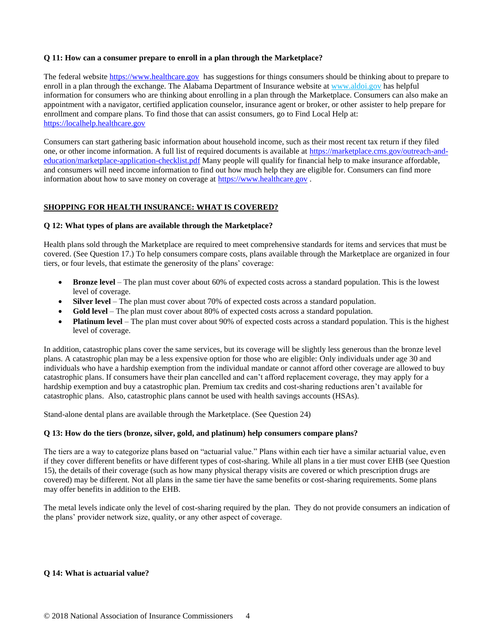# **Q 11: How can a consumer prepare to enroll in a plan through the Marketplace?**

The federal website [https://www.healthcare.gov](https://www.healthcare.gov/) has suggestions for things consumers should be thinking about to prepare to enroll in a plan through the exchange. The Alabama Department of Insurance website at [www.aldoi.gov](http://www.aldoi.gov/) has helpful information for consumers who are thinking about enrolling in a plan through the Marketplace. Consumers can also make an appointment with a navigator, certified application counselor, insurance agent or broker, or other assister to help prepare for enrollment and compare plans. To find those that can assist consumers, go to Find Local Help at: [https://localhelp.healthcare.gov](https://localhelp.healthcare.gov/)

Consumers can start gathering basic information about household income, such as their most recent tax return if they filed one, or other income information. A full list of required documents is available at [https://marketplace.cms.gov/outreach-and](https://marketplace.cms.gov/outreach-and-education/marketplace-application-checklist.pdf)[education/marketplace-application-checklist.pdf](https://marketplace.cms.gov/outreach-and-education/marketplace-application-checklist.pdf) Many people will qualify for financial help to make insurance affordable, and consumers will need income information to find out how much help they are eligible for. Consumers can find more information about how to save money on coverage at [https://www.healthcare.gov](https://www.healthcare.gov/) .

# **SHOPPING FOR HEALTH INSURANCE: WHAT IS COVERED?**

## **Q 12: What types of plans are available through the Marketplace?**

Health plans sold through the Marketplace are required to meet comprehensive standards for items and services that must be covered. (See Question 17.) To help consumers compare costs, plans available through the Marketplace are organized in four tiers, or four levels, that estimate the generosity of the plans' coverage:

- **Bronze level** The plan must cover about 60% of expected costs across a standard population. This is the lowest level of coverage.
- **Silver level** The plan must cover about 70% of expected costs across a standard population.
- **Gold level** The plan must cover about 80% of expected costs across a standard population.
- **Platinum level** The plan must cover about 90% of expected costs across a standard population. This is the highest level of coverage.

In addition, catastrophic plans cover the same services, but its coverage will be slightly less generous than the bronze level plans. A catastrophic plan may be a less expensive option for those who are eligible: Only individuals under age 30 and individuals who have a hardship exemption from the individual mandate or cannot afford other coverage are allowed to buy catastrophic plans. If consumers have their plan cancelled and can't afford replacement coverage, they may apply for a hardship exemption and buy a catastrophic plan. Premium tax credits and cost-sharing reductions aren't available for catastrophic plans. Also, catastrophic plans cannot be used with health savings accounts (HSAs).

Stand-alone dental plans are available through the Marketplace. (See Question 24)

## **Q 13: How do the tiers (bronze, silver, gold, and platinum) help consumers compare plans?**

The tiers are a way to categorize plans based on "actuarial value." Plans within each tier have a similar actuarial value, even if they cover different benefits or have different types of cost-sharing. While all plans in a tier must cover EHB (see Question 15), the details of their coverage (such as how many physical therapy visits are covered or which prescription drugs are covered) may be different. Not all plans in the same tier have the same benefits or cost-sharing requirements. Some plans may offer benefits in addition to the EHB.

The metal levels indicate only the level of cost-sharing required by the plan. They do not provide consumers an indication of the plans' provider network size, quality, or any other aspect of coverage.

## **Q 14: What is actuarial value?**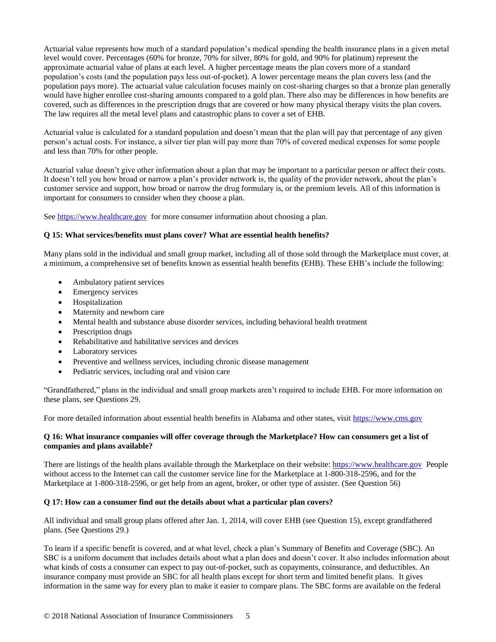Actuarial value represents how much of a standard population's medical spending the health insurance plans in a given metal level would cover. Percentages (60% for bronze, 70% for silver, 80% for gold, and 90% for platinum) represent the approximate actuarial value of plans at each level. A higher percentage means the plan covers more of a standard population's costs (and the population pays less out-of-pocket). A lower percentage means the plan covers less (and the population pays more). The actuarial value calculation focuses mainly on cost-sharing charges so that a bronze plan generally would have higher enrollee cost-sharing amounts compared to a gold plan. There also may be differences in how benefits are covered, such as differences in the prescription drugs that are covered or how many physical therapy visits the plan covers. The law requires all the metal level plans and catastrophic plans to cover a set of EHB.

Actuarial value is calculated for a standard population and doesn't mean that the plan will pay that percentage of any given person's actual costs. For instance, a silver tier plan will pay more than 70% of covered medical expenses for some people and less than 70% for other people.

Actuarial value doesn't give other information about a plan that may be important to a particular person or affect their costs. It doesn't tell you how broad or narrow a plan's provider network is, the quality of the provider network, about the plan's customer service and support, how broad or narrow the drug formulary is, or the premium levels. All of this information is important for consumers to consider when they choose a plan.

See [https://www.healthcare.gov](https://www.healthcare.gov/) for more consumer information about choosing a plan.

#### **Q 15: What services/benefits must plans cover? What are essential health benefits?**

Many plans sold in the individual and small group market, including all of those sold through the Marketplace must cover, at a minimum, a comprehensive set of benefits known as essential health benefits (EHB). These EHB's include the following:

- Ambulatory patient services
- Emergency services
- Hospitalization
- Maternity and newborn care
- Mental health and substance abuse disorder services, including behavioral health treatment
- Prescription drugs
- Rehabilitative and habilitative services and devices
- Laboratory services
- Preventive and wellness services, including chronic disease management
- Pediatric services, including oral and vision care

"Grandfathered," plans in the individual and small group markets aren't required to include EHB. For more information on these plans, see Questions 29.

For more detailed information about essential health benefits in Alabama and other states, visit [https://www.cms.gov](https://www.cms.gov/)

#### **Q 16: What insurance companies will offer coverage through the Marketplace? How can consumers get a list of companies and plans available?**

There are listings of the health plans available through the Marketplace on their website[: https://www.healthcare.gov](https://www.healthcare.gov/) People without access to the Internet can call the customer service line for the Marketplace at 1-800-318-2596, and for the Marketplace at 1-800-318-2596, or get help from an agent, broker, or other type of assister. (See Question 56)

#### **Q 17: How can a consumer find out the details about what a particular plan covers?**

All individual and small group plans offered after Jan. 1, 2014, will cover EHB (see Question 15), except grandfathered plans. (See Questions 29.)

To learn if a specific benefit is covered, and at what level, check a plan's Summary of Benefits and Coverage (SBC). An SBC is a uniform document that includes details about what a plan does and doesn't cover. It also includes information about what kinds of costs a consumer can expect to pay out-of-pocket, such as copayments, coinsurance, and deductibles. An insurance company must provide an SBC for all health plans except for short term and limited benefit plans. It gives information in the same way for every plan to make it easier to compare plans. The SBC forms are available on the federal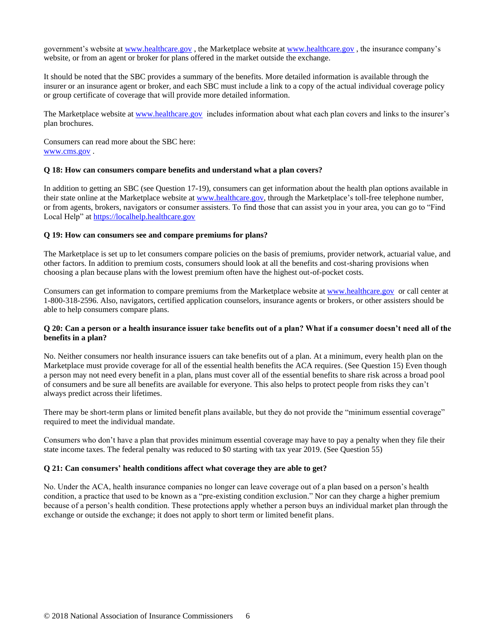government's website at [www.healthcare.gov](http://www.healthcare.gov/) , the Marketplace website at [www.healthcare.gov](http://www.healthcare.gov/) , the insurance company's website, or from an agent or broker for plans offered in the market outside the exchange.

It should be noted that the SBC provides a summary of the benefits. More detailed information is available through the insurer or an insurance agent or broker, and each SBC must include a link to a copy of the actual individual coverage policy or group certificate of coverage that will provide more detailed information.

The Marketplace website at [www.healthcare.gov](http://www.healthcare.gov/) includes information about what each plan covers and links to the insurer's plan brochures.

Consumers can read more about the SBC here: [www.cms.gov](https://www.cms.gov/CCIIO/Resources/Fact-Sheets-and-FAQs/IndexSummaryBenefitsCoverage) .

#### **Q 18: How can consumers compare benefits and understand what a plan covers?**

In addition to getting an SBC (see Question 17-19), consumers can get information about the health plan options available in their state online at the Marketplace website at [www.healthcare.gov,](file:///C:/Users/Yada.Horace/AppData/Local/Temp/www.healthcare.gov) through the Marketplace's toll-free telephone number, or from agents, brokers, navigators or consumer assisters. To find those that can assist you in your area, you can go to "Find Local Help" at [https://localhelp.healthcare.gov](https://localhelp.healthcare.gov/)

#### **Q 19: How can consumers see and compare premiums for plans?**

The Marketplace is set up to let consumers compare policies on the basis of premiums, provider network, actuarial value, and other factors. In addition to premium costs, consumers should look at all the benefits and cost-sharing provisions when choosing a plan because plans with the lowest premium often have the highest out-of-pocket costs.

Consumers can get information to compare premiums from the Marketplace website at [www.healthcare.gov](http://www.healthcare.gov/) or call center at 1-800-318-2596. Also, navigators, certified application counselors, insurance agents or brokers, or other assisters should be able to help consumers compare plans.

#### **Q 20: Can a person or a health insurance issuer take benefits out of a plan? What if a consumer doesn't need all of the benefits in a plan?**

No. Neither consumers nor health insurance issuers can take benefits out of a plan. At a minimum, every health plan on the Marketplace must provide coverage for all of the essential health benefits the ACA requires. (See Question 15) Even though a person may not need every benefit in a plan, plans must cover all of the essential benefits to share risk across a broad pool of consumers and be sure all benefits are available for everyone. This also helps to protect people from risks they can't always predict across their lifetimes.

There may be short-term plans or limited benefit plans available, but they do not provide the "minimum essential coverage" required to meet the individual mandate.

Consumers who don't have a plan that provides minimum essential coverage may have to pay a penalty when they file their state income taxes. The federal penalty was reduced to \$0 starting with tax year 2019. (See Question 55)

#### **Q 21: Can consumers' health conditions affect what coverage they are able to get?**

No. Under the ACA, health insurance companies no longer can leave coverage out of a plan based on a person's health condition, a practice that used to be known as a "pre-existing condition exclusion." Nor can they charge a higher premium because of a person's health condition. These protections apply whether a person buys an individual market plan through the exchange or outside the exchange; it does not apply to short term or limited benefit plans.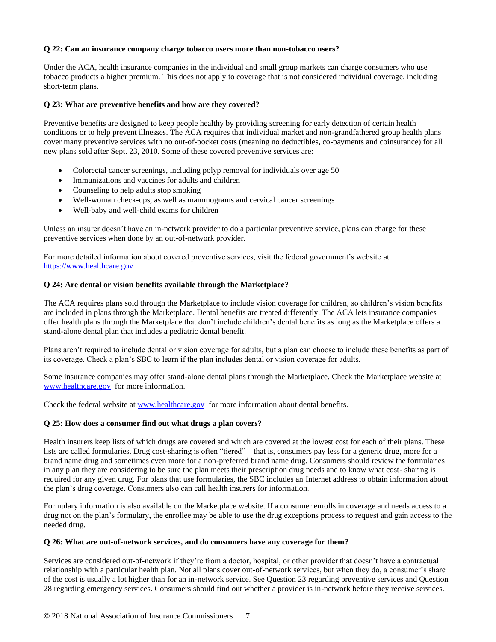## **Q 22: Can an insurance company charge tobacco users more than non-tobacco users?**

Under the ACA, health insurance companies in the individual and small group markets can charge consumers who use tobacco products a higher premium. This does not apply to coverage that is not considered individual coverage, including short-term plans.

## **Q 23: What are preventive benefits and how are they covered?**

Preventive benefits are designed to keep people healthy by providing screening for early detection of certain health conditions or to help prevent illnesses. The ACA requires that individual market and non-grandfathered group health plans cover many preventive services with no out-of-pocket costs (meaning no deductibles, co-payments and coinsurance) for all new plans sold after Sept. 23, 2010. Some of these covered preventive services are:

- Colorectal cancer screenings, including polyp removal for individuals over age 50
- Immunizations and vaccines for adults and children
- Counseling to help adults stop smoking
- Well-woman check-ups, as well as mammograms and cervical cancer screenings
- Well-baby and well-child exams for children

Unless an insurer doesn't have an in-network provider to do a particular preventive service, plans can charge for these preventive services when done by an out-of-network provider.

For more detailed information about covered preventive services, visit the federal government's website at https://www.healthcare.gov

#### **Q 24: Are dental or vision benefits available through the Marketplace?**

The ACA requires plans sold through the Marketplace to include vision coverage for children, so children's vision benefits are included in plans through the Marketplace. Dental benefits are treated differently. The ACA lets insurance companies offer health plans through the Marketplace that don't include children's dental benefits as long as the Marketplace offers a stand-alone dental plan that includes a pediatric dental benefit.

Plans aren't required to include dental or vision coverage for adults, but a plan can choose to include these benefits as part of its coverage. Check a plan's SBC to learn if the plan includes dental or vision coverage for adults.

Some insurance companies may offer stand-alone dental plans through the Marketplace. Check the Marketplace website at [www.healthcare.gov](http://www.healthcare.gov/) for more information.

Check the federal website at [www.healthcare.gov](http://www.healthcare.gov/) for more information about dental benefits.

#### **Q 25: How does a consumer find out what drugs a plan covers?**

Health insurers keep lists of which drugs are covered and which are covered at the lowest cost for each of their plans. These lists are called formularies. Drug cost-sharing is often "tiered"—that is, consumers pay less for a generic drug, more for a brand name drug and sometimes even more for a non-preferred brand name drug. Consumers should review the formularies in any plan they are considering to be sure the plan meets their prescription drug needs and to know what cost- sharing is required for any given drug. For plans that use formularies, the SBC includes an Internet address to obtain information about the plan's drug coverage. Consumers also can call health insurers for information.

Formulary information is also available on the Marketplace website. If a consumer enrolls in coverage and needs access to a drug not on the plan's formulary, the enrollee may be able to use the drug exceptions process to request and gain access to the needed drug.

#### **Q 26: What are out-of-network services, and do consumers have any coverage for them?**

Services are considered out-of-network if they're from a doctor, hospital, or other provider that doesn't have a contractual relationship with a particular health plan. Not all plans cover out-of-network services, but when they do, a consumer's share of the cost is usually a lot higher than for an in-network service. See Question 23 regarding preventive services and Question 28 regarding emergency services. Consumers should find out whether a provider is in-network before they receive services.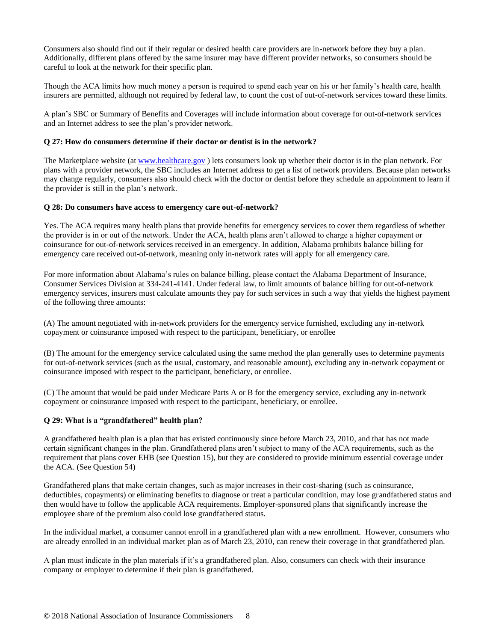Consumers also should find out if their regular or desired health care providers are in-network before they buy a plan. Additionally, different plans offered by the same insurer may have different provider networks, so consumers should be careful to look at the network for their specific plan.

Though the ACA limits how much money a person is required to spend each year on his or her family's health care, health insurers are permitted, although not required by federal law, to count the cost of out-of-network services toward these limits.

A plan's SBC or Summary of Benefits and Coverages will include information about coverage for out-of-network services and an Internet address to see the plan's provider network.

#### **Q 27: How do consumers determine if their doctor or dentist is in the network?**

The Marketplace website (a[t www.healthcare.gov](http://www.healthcare.gov/) ) lets consumers look up whether their doctor is in the plan network. For plans with a provider network, the SBC includes an Internet address to get a list of network providers. Because plan networks may change regularly, consumers also should check with the doctor or dentist before they schedule an appointment to learn if the provider is still in the plan's network.

#### **Q 28: Do consumers have access to emergency care out-of-network?**

Yes. The ACA requires many health plans that provide benefits for emergency services to cover them regardless of whether the provider is in or out of the network. Under the ACA, health plans aren't allowed to charge a higher copayment or coinsurance for out-of-network services received in an emergency. In addition, Alabama prohibits balance billing for emergency care received out-of-network, meaning only in-network rates will apply for all emergency care.

For more information about Alabama's rules on balance billing, please contact the Alabama Department of Insurance, Consumer Services Division at 334-241-4141. Under federal law, to limit amounts of balance billing for out-of-network emergency services, insurers must calculate amounts they pay for such services in such a way that yields the highest payment of the following three amounts:

(A) The amount negotiated with in-network providers for the emergency service furnished, excluding any in-network copayment or coinsurance imposed with respect to the participant, beneficiary, or enrollee

(B) The amount for the emergency service calculated using the same method the plan generally uses to determine payments for out-of-network services (such as the usual, customary, and reasonable amount), excluding any in-network copayment or coinsurance imposed with respect to the participant, beneficiary, or enrollee.

(C) The amount that would be paid under Medicare Parts A or B for the emergency service, excluding any in-network copayment or coinsurance imposed with respect to the participant, beneficiary, or enrollee.

## **Q 29: What is a "grandfathered" health plan?**

A grandfathered health plan is a plan that has existed continuously since before March 23, 2010, and that has not made certain significant changes in the plan. Grandfathered plans aren't subject to many of the ACA requirements, such as the requirement that plans cover EHB (see Question 15), but they are considered to provide minimum essential coverage under the ACA. (See Question 54)

Grandfathered plans that make certain changes, such as major increases in their cost-sharing (such as coinsurance, deductibles, copayments) or eliminating benefits to diagnose or treat a particular condition, may lose grandfathered status and then would have to follow the applicable ACA requirements. Employer-sponsored plans that significantly increase the employee share of the premium also could lose grandfathered status.

In the individual market, a consumer cannot enroll in a grandfathered plan with a new enrollment. However, consumers who are already enrolled in an individual market plan as of March 23, 2010, can renew their coverage in that grandfathered plan.

A plan must indicate in the plan materials if it's a grandfathered plan. Also, consumers can check with their insurance company or employer to determine if their plan is grandfathered.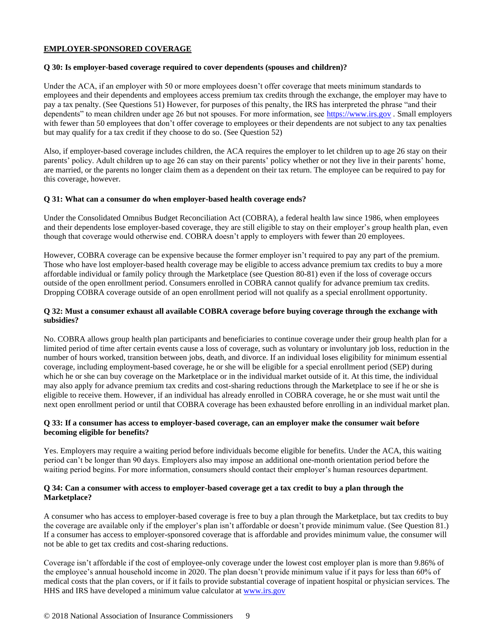## **EMPLOYER-SPONSORED COVERAGE**

#### **Q 30: Is employer-based coverage required to cover dependents (spouses and children)?**

Under the ACA, if an employer with 50 or more employees doesn't offer coverage that meets minimum standards to employees and their dependents and employees access premium tax credits through the exchange, the employer may have to pay a tax penalty. (See Questions 51) However, for purposes of this penalty, the IRS has interpreted the phrase "and their dependents" to mean children under age 26 but not spouses. For more information, see [https://www.irs.gov](https://www.irs.gov/) *.* Small employers with fewer than 50 employees that don't offer coverage to employees or their dependents are not subject to any tax penalties but may qualify for a tax credit if they choose to do so. (See Question 52)

Also, if employer-based coverage includes children, the ACA requires the employer to let children up to age 26 stay on their parents' policy. Adult children up to age 26 can stay on their parents' policy whether or not they live in their parents' home, are married, or the parents no longer claim them as a dependent on their tax return. The employee can be required to pay for this coverage, however.

#### **Q 31: What can a consumer do when employer-based health coverage ends?**

Under the Consolidated Omnibus Budget Reconciliation Act (COBRA), a federal health law since 1986, when employees and their dependents lose employer-based coverage, they are still eligible to stay on their employer's group health plan, even though that coverage would otherwise end. COBRA doesn't apply to employers with fewer than 20 employees.

However, COBRA coverage can be expensive because the former employer isn't required to pay any part of the premium. Those who have lost employer-based health coverage may be eligible to access advance premium tax credits to buy a more affordable individual or family policy through the Marketplace (see Question 80-81) even if the loss of coverage occurs outside of the open enrollment period. Consumers enrolled in COBRA cannot qualify for advance premium tax credits. Dropping COBRA coverage outside of an open enrollment period will not qualify as a special enrollment opportunity.

#### **Q 32: Must a consumer exhaust all available COBRA coverage before buying coverage through the exchange with subsidies?**

No. COBRA allows group health plan participants and beneficiaries to continue coverage under their group health plan for a limited period of time after certain events cause a loss of coverage, such as voluntary or involuntary job loss, reduction in the number of hours worked, transition between jobs, death, and divorce. If an individual loses eligibility for minimum essential coverage, including employment-based coverage, he or she will be eligible for a special enrollment period (SEP) during which he or she can buy coverage on the Marketplace or in the individual market outside of it. At this time, the individual may also apply for advance premium tax credits and cost-sharing reductions through the Marketplace to see if he or she is eligible to receive them. However, if an individual has already enrolled in COBRA coverage, he or she must wait until the next open enrollment period or until that COBRA coverage has been exhausted before enrolling in an individual market plan.

## **Q 33: If a consumer has access to employer-based coverage, can an employer make the consumer wait before becoming eligible for benefits?**

Yes. Employers may require a waiting period before individuals become eligible for benefits. Under the ACA, this waiting period can't be longer than 90 days. Employers also may impose an additional one-month orientation period before the waiting period begins. For more information, consumers should contact their employer's human resources department.

## **Q 34: Can a consumer with access to employer-based coverage get a tax credit to buy a plan through the Marketplace?**

A consumer who has access to employer-based coverage is free to buy a plan through the Marketplace, but tax credits to buy the coverage are available only if the employer's plan isn't affordable or doesn't provide minimum value. (See Question 81.) If a consumer has access to employer-sponsored coverage that is affordable and provides minimum value, the consumer will not be able to get tax credits and cost-sharing reductions.

Coverage isn't affordable if the cost of employee-only coverage under the lowest cost employer plan is more than 9.86% of the employee's annual household income in 2020. The plan doesn't provide minimum value if it pays for less than 60% of medical costs that the plan covers, or if it fails to provide substantial coverage of inpatient hospital or physician services. The HHS and IRS have developed a minimum value calculator at www.irs.gov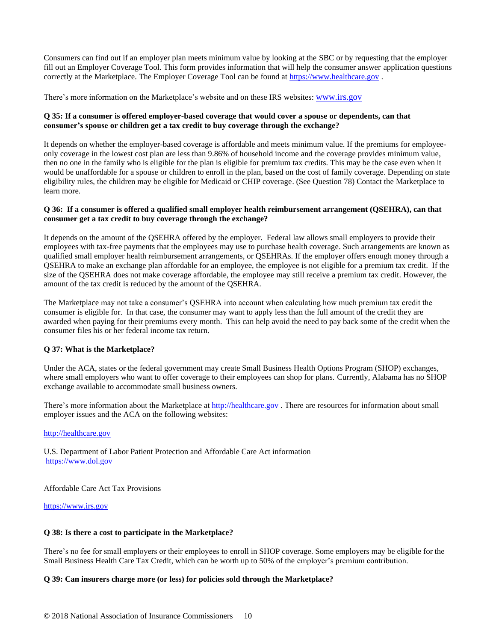Consumers can find out if an employer plan meets minimum value by looking at the SBC or by requesting that the employer fill out an Employer Coverage Tool. This form provides information that will help the consumer answer application questions correctly at the Marketplace. The Employer Coverage Tool can be found at [https://www.healthcare.gov](https://www.healthcare.gov/).

There's more information on the Marketplace's website and on these IRS websites: [www.irs.gov](http://www.irs.gov/)

## **Q 35: If a consumer is offered employer-based coverage that would cover a spouse or dependents, can that consumer's spouse or children get a tax credit to buy coverage through the exchange?**

It depends on whether the employer-based coverage is affordable and meets minimum value. If the premiums for employeeonly coverage in the lowest cost plan are less than 9.86% of household income and the coverage provides minimum value, then no one in the family who is eligible for the plan is eligible for premium tax credits. This may be the case even when it would be unaffordable for a spouse or children to enroll in the plan, based on the cost of family coverage. Depending on state eligibility rules, the children may be eligible for Medicaid or CHIP coverage. (See Question 78) Contact the Marketplace to learn more.

## **Q 36: If a consumer is offered a qualified small employer health reimbursement arrangement (QSEHRA), can that consumer get a tax credit to buy coverage through the exchange?**

It depends on the amount of the QSEHRA offered by the employer. Federal law allows small employers to provide their employees with tax-free payments that the employees may use to purchase health coverage. Such arrangements are known as qualified small employer health reimbursement arrangements, or QSEHRAs. If the employer offers enough money through a QSEHRA to make an exchange plan affordable for an employee, the employee is not eligible for a premium tax credit. If the size of the QSEHRA does not make coverage affordable, the employee may still receive a premium tax credit. However, the amount of the tax credit is reduced by the amount of the QSEHRA.

The Marketplace may not take a consumer's QSEHRA into account when calculating how much premium tax credit the consumer is eligible for. In that case, the consumer may want to apply less than the full amount of the credit they are awarded when paying for their premiums every month. This can help avoid the need to pay back some of the credit when the consumer files his or her federal income tax return.

## **Q 37: What is the Marketplace?**

Under the ACA, states or the federal government may create Small Business Health Options Program (SHOP) exchanges, where small employers who want to offer coverage to their employees can shop for plans. Currently, Alabama has no SHOP exchange available to accommodate small business owners.

There's more information about the Marketplace a[t http://healthcare.gov](http://healthcare.gov/) *.* There are resources for information about small employer issues and the ACA on the following websites:

## [http://healthcare.gov](http://healthcare.gov/)

U.S. Department of Labor Patient Protection and Affordable Care Act information [https://www.dol.gov](https://www.dol.gov/)

Affordable Care Act Tax Provisions

[https://www.irs.gov](https://www.irs.gov/)

## **Q 38: Is there a cost to participate in the Marketplace?**

There's no fee for small employers or their employees to enroll in SHOP coverage. Some employers may be eligible for the Small Business Health Care Tax Credit, which can be worth up to 50% of the employer's premium contribution.

## **Q 39: Can insurers charge more (or less) for policies sold through the Marketplace?**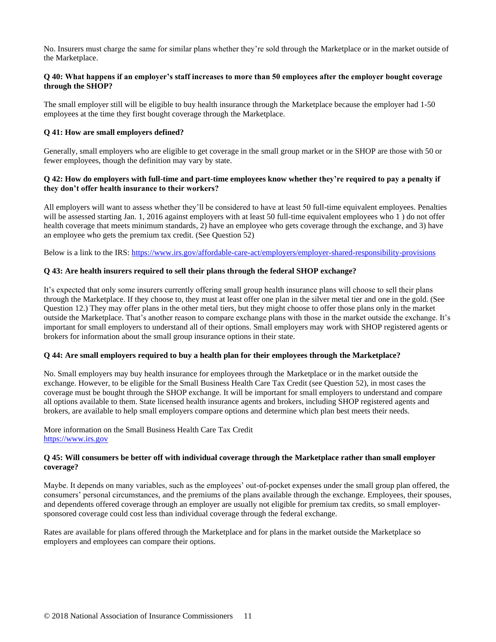No. Insurers must charge the same for similar plans whether they're sold through the Marketplace or in the market outside of the Marketplace.

## **Q 40: What happens if an employer's staff increases to more than 50 employees after the employer bought coverage through the SHOP?**

The small employer still will be eligible to buy health insurance through the Marketplace because the employer had 1-50 employees at the time they first bought coverage through the Marketplace.

## **Q 41: How are small employers defined?**

Generally, small employers who are eligible to get coverage in the small group market or in the SHOP are those with 50 or fewer employees, though the definition may vary by state.

## **Q 42: How do employers with full-time and part-time employees know whether they're required to pay a penalty if they don't offer health insurance to their workers?**

All employers will want to assess whether they'll be considered to have at least 50 full-time equivalent employees. Penalties will be assessed starting Jan. 1, 2016 against employers with at least 50 full-time equivalent employees who 1) do not offer health coverage that meets minimum standards, 2) have an employee who gets coverage through the exchange, and 3) have an employee who gets the premium tax credit. (See Question 52)

Below is a link to the IRS[: https://www.irs.gov/affordable-care-act/employers/employer-shared-responsibility-provisions](https://www.irs.gov/affordable-care-act/employers/employer-shared-responsibility-provisions)

#### **Q 43: Are health insurers required to sell their plans through the federal SHOP exchange?**

It's expected that only some insurers currently offering small group health insurance plans will choose to sell their plans through the Marketplace. If they choose to, they must at least offer one plan in the silver metal tier and one in the gold. (See Question 12.) They may offer plans in the other metal tiers, but they might choose to offer those plans only in the market outside the Marketplace. That's another reason to compare exchange plans with those in the market outside the exchange. It's important for small employers to understand all of their options. Small employers may work with SHOP registered agents or brokers for information about the small group insurance options in their state.

#### **Q 44: Are small employers required to buy a health plan for their employees through the Marketplace?**

No. Small employers may buy health insurance for employees through the Marketplace or in the market outside the exchange. However, to be eligible for the Small Business Health Care Tax Credit (see Question 52), in most cases the coverage must be bought through the SHOP exchange. It will be important for small employers to understand and compare all options available to them. State licensed health insurance agents and brokers, including SHOP registered agents and brokers, are available to help small employers compare options and determine which plan best meets their needs.

More information on the Small Business Health Care Tax Credit [https://www.irs.gov](https://www.irs.gov/)

### **Q 45: Will consumers be better off with individual coverage through the Marketplace rather than small employer coverage?**

Maybe. It depends on many variables, such as the employees' out-of-pocket expenses under the small group plan offered, the consumers' personal circumstances, and the premiums of the plans available through the exchange. Employees, their spouses, and dependents offered coverage through an employer are usually not eligible for premium tax credits, so small employersponsored coverage could cost less than individual coverage through the federal exchange.

Rates are available for plans offered through the Marketplace and for plans in the market outside the Marketplace so employers and employees can compare their options.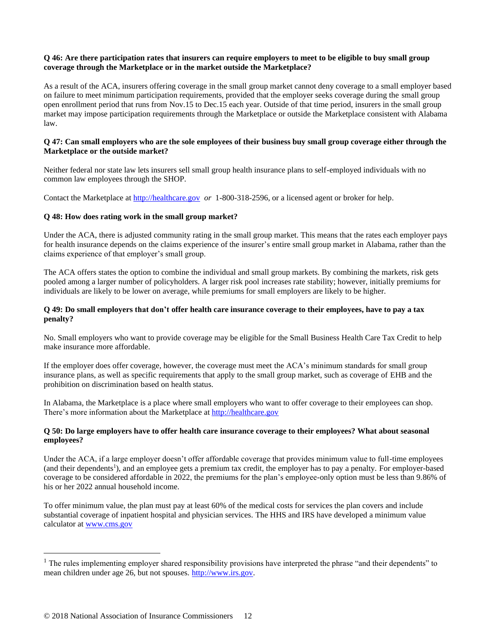## **Q 46: Are there participation rates that insurers can require employers to meet to be eligible to buy small group coverage through the Marketplace or in the market outside the Marketplace?**

As a result of the ACA, insurers offering coverage in the small group market cannot deny coverage to a small employer based on failure to meet minimum participation requirements, provided that the employer seeks coverage during the small group open enrollment period that runs from Nov.15 to Dec.15 each year. Outside of that time period, insurers in the small group market may impose participation requirements through the Marketplace or outside the Marketplace consistent with Alabama law.

## **Q 47: Can small employers who are the sole employees of their business buy small group coverage either through the Marketplace or the outside market?**

Neither federal nor state law lets insurers sell small group health insurance plans to self-employed individuals with no common law employees through the SHOP.

Contact the Marketplace a[t http://healthcare.gov](http://healthcare.gov/) *or* 1-800-318-2596, or a licensed agent or broker for help.

## **Q 48: How does rating work in the small group market?**

Under the ACA, there is adjusted community rating in the small group market. This means that the rates each employer pays for health insurance depends on the claims experience of the insurer's entire small group market in Alabama, rather than the claims experience of that employer's small group.

The ACA offers states the option to combine the individual and small group markets. By combining the markets, risk gets pooled among a larger number of policyholders. A larger risk pool increases rate stability; however, initially premiums for individuals are likely to be lower on average, while premiums for small employers are likely to be higher.

## **Q 49: Do small employers that don't offer health care insurance coverage to their employees, have to pay a tax penalty?**

No. Small employers who want to provide coverage may be eligible for the Small Business Health Care Tax Credit to help make insurance more affordable.

If the employer does offer coverage, however, the coverage must meet the ACA's minimum standards for small group insurance plans, as well as specific requirements that apply to the small group market, such as coverage of EHB and the prohibition on discrimination based on health status.

In Alabama, the Marketplace is a place where small employers who want to offer coverage to their employees can shop. There's more information about the Marketplace a[t http://healthcare.gov](http://healthcare.gov/)

#### **Q 50: Do large employers have to offer health care insurance coverage to their employees? What about seasonal employees?**

Under the ACA, if a large employer doesn't offer affordable coverage that provides minimum value to full-time employees (and their dependents<sup>1</sup>), and an employee gets a premium tax credit, the employer has to pay a penalty. For employer-based coverage to be considered affordable in 2022, the premiums for the plan's employee-only option must be less than 9.86% of his or her 2022 annual household income.

To offer minimum value, the plan must pay at least 60% of the medical costs for services the plan covers and include substantial coverage of inpatient hospital and physician services. The HHS and IRS have developed a minimum value calculator a[t www.cms.gov](http://www.cms.gov/)

 $<sup>1</sup>$  The rules implementing employer shared responsibility provisions have interpreted the phrase "and their dependents" to</sup> mean children under age 26, but not spouses[. http://www.irs.gov.](http://www.irs.gov/)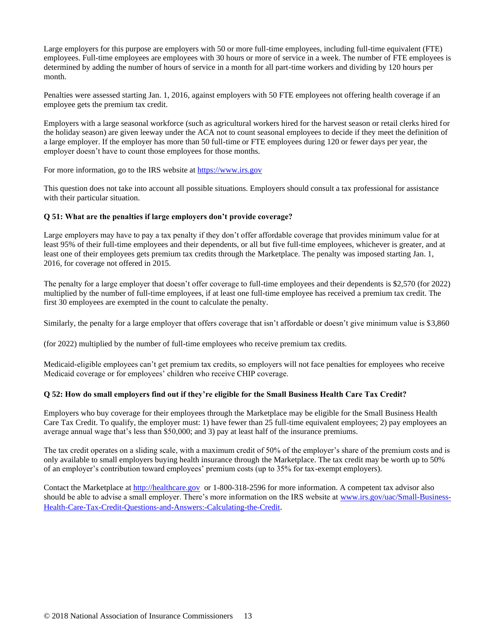Large employers for this purpose are employers with 50 or more full-time employees, including full-time equivalent (FTE) employees. Full-time employees are employees with 30 hours or more of service in a week. The number of FTE employees is determined by adding the number of hours of service in a month for all part-time workers and dividing by 120 hours per month.

Penalties were assessed starting Jan. 1, 2016, against employers with 50 FTE employees not offering health coverage if an employee gets the premium tax credit.

Employers with a large seasonal workforce (such as agricultural workers hired for the harvest season or retail clerks hired for the holiday season) are given leeway under the ACA not to count seasonal employees to decide if they meet the definition of a large employer. If the employer has more than 50 full-time or FTE employees during 120 or fewer days per year, the employer doesn't have to count those employees for those months.

For more information, go to the IRS website at [https://www.irs.gov](https://www.irs.gov/)

This question does not take into account all possible situations. Employers should consult a tax professional for assistance with their particular situation.

## **Q 51: What are the penalties if large employers don't provide coverage?**

Large employers may have to pay a tax penalty if they don't offer affordable coverage that provides minimum value for at least 95% of their full-time employees and their dependents, or all but five full-time employees, whichever is greater, and at least one of their employees gets premium tax credits through the Marketplace. The penalty was imposed starting Jan. 1, 2016, for coverage not offered in 2015.

The penalty for a large employer that doesn't offer coverage to full-time employees and their dependents is \$2,570 (for 2022) multiplied by the number of full-time employees, if at least one full-time employee has received a premium tax credit. The first 30 employees are exempted in the count to calculate the penalty.

Similarly, the penalty for a large employer that offers coverage that isn't affordable or doesn't give minimum value is \$3,860

(for 2022) multiplied by the number of full-time employees who receive premium tax credits.

Medicaid-eligible employees can't get premium tax credits, so employers will not face penalties for employees who receive Medicaid coverage or for employees' children who receive CHIP coverage.

## **Q 52: How do small employers find out if they're eligible for the Small Business Health Care Tax Credit?**

Employers who buy coverage for their employees through the Marketplace may be eligible for the Small Business Health Care Tax Credit. To qualify, the employer must: 1) have fewer than 25 full-time equivalent employees; 2) pay employees an average annual wage that's less than \$50,000; and 3) pay at least half of the insurance premiums.

The tax credit operates on a sliding scale, with a maximum credit of 50% of the employer's share of the premium costs and is only available to small employers buying health insurance through the Marketplace. The tax credit may be worth up to 50% of an employer's contribution toward employees' premium costs (up to 35% for tax-exempt employers).

Contact the Marketplace a[t http://healthcare.gov](http://healthcare.gov/) or 1-800-318-2596 for more information. A competent tax advisor also should be able to advise a small employer. There's more information on the IRS website at [www.irs.gov/uac/Small-Business-](http://www.irs.gov/uac/Small-Business-Health-Care-Tax-Credit-Questions-and-Answers:-Calculating-the-Credit)[Health-Care-Tax-Credit-Questions-and-Answers:-Calculating-the-Credit](http://www.irs.gov/uac/Small-Business-Health-Care-Tax-Credit-Questions-and-Answers:-Calculating-the-Credit).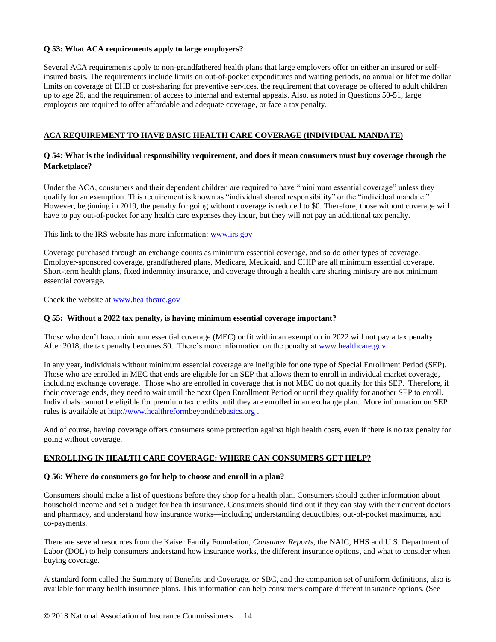## **Q 53: What ACA requirements apply to large employers?**

Several ACA requirements apply to non-grandfathered health plans that large employers offer on either an insured or selfinsured basis. The requirements include limits on out-of-pocket expenditures and waiting periods, no annual or lifetime dollar limits on coverage of EHB or cost-sharing for preventive services, the requirement that coverage be offered to adult children up to age 26, and the requirement of access to internal and external appeals. Also, as noted in Questions 50-51, large employers are required to offer affordable and adequate coverage, or face a tax penalty.

# **ACA REQUIREMENT TO HAVE BASIC HEALTH CARE COVERAGE (INDIVIDUAL MANDATE)**

## **Q 54: What is the individual responsibility requirement, and does it mean consumers must buy coverage through the Marketplace?**

Under the ACA, consumers and their dependent children are required to have "minimum essential coverage" unless they qualify for an exemption. This requirement is known as "individual shared responsibility" or the "individual mandate." However, beginning in 2019, the penalty for going without coverage is reduced to \$0. Therefore, those without coverage will have to pay out-of-pocket for any health care expenses they incur, but they will not pay an additional tax penalty.

This link to the IRS website has more information: [www.irs.gov](http://www.irs.gov/)

Coverage purchased through an exchange counts as minimum essential coverage, and so do other types of coverage. Employer-sponsored coverage, grandfathered plans, Medicare, Medicaid, and CHIP are all minimum essential coverage. Short-term health plans, fixed indemnity insurance, and coverage through a health care sharing ministry are not minimum essential coverage.

Check the website at [www.healthcare.gov](http://www.healthcare.gov/)

## **Q 55: Without a 2022 tax penalty, is having minimum essential coverage important?**

Those who don't have minimum essential coverage (MEC) or fit within an exemption in 2022 will not pay a tax penalty After 2018, the tax penalty becomes \$0. There's more information on the penalty a[t www.healthcare.gov](http://www.healthcare.gov/)

In any year, individuals without minimum essential coverage are ineligible for one type of Special Enrollment Period (SEP). Those who are enrolled in MEC that ends are eligible for an SEP that allows them to enroll in individual market coverage, including exchange coverage. Those who are enrolled in coverage that is not MEC do not qualify for this SEP. Therefore, if their coverage ends, they need to wait until the next Open Enrollment Period or until they qualify for another SEP to enroll. Individuals cannot be eligible for premium tax credits until they are enrolled in an exchange plan. More information on SEP rules is available at [http://www.healthreformbeyondthebasics.org](http://www.healthreformbeyondthebasics.org/) *.*

And of course, having coverage offers consumers some protection against high health costs, even if there is no tax penalty for going without coverage.

## **ENROLLING IN HEALTH CARE COVERAGE: WHERE CAN CONSUMERS GET HELP?**

## **Q 56: Where do consumers go for help to choose and enroll in a plan?**

Consumers should make a list of questions before they shop for a health plan. Consumers should gather information about household income and set a budget for health insurance. Consumers should find out if they can stay with their current doctors and pharmacy, and understand how insurance works—including understanding deductibles, out-of-pocket maximums, and co-payments.

There are several resources from the Kaiser Family Foundation, *Consumer Reports*, the NAIC, HHS and U.S. Department of Labor (DOL) to help consumers understand how insurance works, the different insurance options, and what to consider when buying coverage.

A standard form called the Summary of Benefits and Coverage, or SBC, and the companion set of uniform definitions, also is available for many health insurance plans. This information can help consumers compare different insurance options. (See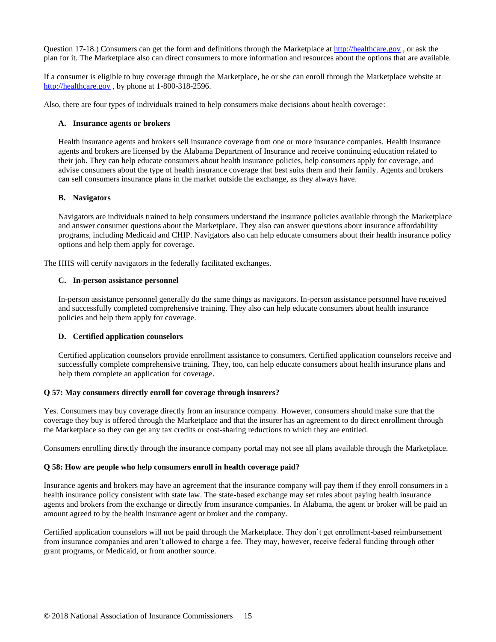Question 17-18.) Consumers can get the form and definitions through the Marketplace at [http://healthcare.gov](http://healthcare.gov/), or ask the plan for it. The Marketplace also can direct consumers to more information and resources about the options that are available.

If a consumer is eligible to buy coverage through the Marketplace, he or she can enroll through the Marketplace website at [http://healthcare.gov](http://healthcare.gov/) , by phone at 1-800-318-2596.

Also, there are four types of individuals trained to help consumers make decisions about health coverage:

#### **A. Insurance agents or brokers**

Health insurance agents and brokers sell insurance coverage from one or more insurance companies. Health insurance agents and brokers are licensed by the Alabama Department of Insurance and receive continuing education related to their job. They can help educate consumers about health insurance policies, help consumers apply for coverage, and advise consumers about the type of health insurance coverage that best suits them and their family. Agents and brokers can sell consumers insurance plans in the market outside the exchange, as they always have.

#### **B. Navigators**

Navigators are individuals trained to help consumers understand the insurance policies available through the Marketplace and answer consumer questions about the Marketplace. They also can answer questions about insurance affordability programs, including Medicaid and CHIP. Navigators also can help educate consumers about their health insurance policy options and help them apply for coverage.

The HHS will certify navigators in the federally facilitated exchanges.

## **C. In-person assistance personnel**

In-person assistance personnel generally do the same things as navigators. In-person assistance personnel have received and successfully completed comprehensive training. They also can help educate consumers about health insurance policies and help them apply for coverage.

## **D. Certified application counselors**

Certified application counselors provide enrollment assistance to consumers. Certified application counselors receive and successfully complete comprehensive training. They, too, can help educate consumers about health insurance plans and help them complete an application for coverage.

## **Q 57: May consumers directly enroll for coverage through insurers?**

Yes. Consumers may buy coverage directly from an insurance company. However, consumers should make sure that the coverage they buy is offered through the Marketplace and that the insurer has an agreement to do direct enrollment through the Marketplace so they can get any tax credits or cost-sharing reductions to which they are entitled.

Consumers enrolling directly through the insurance company portal may not see all plans available through the Marketplace.

#### **Q 58: How are people who help consumers enroll in health coverage paid?**

Insurance agents and brokers may have an agreement that the insurance company will pay them if they enroll consumers in a health insurance policy consistent with state law. The state-based exchange may set rules about paying health insurance agents and brokers from the exchange or directly from insurance companies. In Alabama, the agent or broker will be paid an amount agreed to by the health insurance agent or broker and the company.

Certified application counselors will not be paid through the Marketplace. They don't get enrollment-based reimbursement from insurance companies and aren't allowed to charge a fee. They may, however, receive federal funding through other grant programs, or Medicaid, or from another source.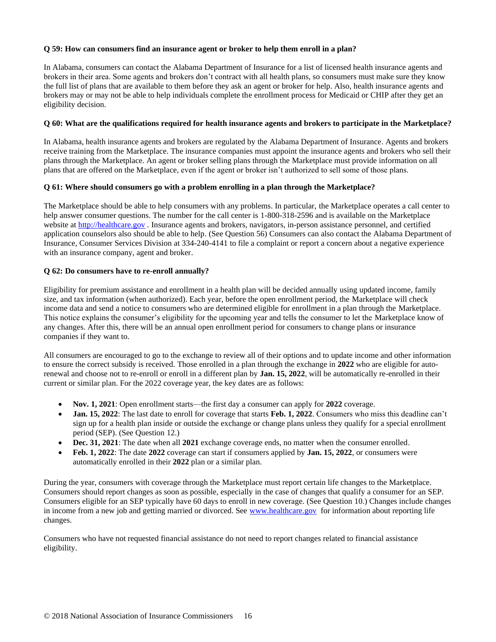## **Q 59: How can consumers find an insurance agent or broker to help them enroll in a plan?**

In Alabama, consumers can contact the Alabama Department of Insurance for a list of licensed health insurance agents and brokers in their area. Some agents and brokers don't contract with all health plans, so consumers must make sure they know the full list of plans that are available to them before they ask an agent or broker for help. Also, health insurance agents and brokers may or may not be able to help individuals complete the enrollment process for Medicaid or CHIP after they get an eligibility decision.

## **Q 60: What are the qualifications required for health insurance agents and brokers to participate in the Marketplace?**

In Alabama, health insurance agents and brokers are regulated by the Alabama Department of Insurance. Agents and brokers receive training from the Marketplace. The insurance companies must appoint the insurance agents and brokers who sell their plans through the Marketplace. An agent or broker selling plans through the Marketplace must provide information on all plans that are offered on the Marketplace, even if the agent or broker isn't authorized to sell some of those plans.

# **Q 61: Where should consumers go with a problem enrolling in a plan through the Marketplace?**

The Marketplace should be able to help consumers with any problems. In particular, the Marketplace operates a call center to help answer consumer questions. The number for the call center is 1-800-318-2596 and is available on the Marketplace website at [http://healthcare.gov](http://healthcare.gov/) *.* Insurance agents and brokers, navigators, in-person assistance personnel, and certified application counselors also should be able to help. (See Question 56) Consumers can also contact the Alabama Department of Insurance, Consumer Services Division at 334-240-4141 to file a complaint or report a concern about a negative experience with an insurance company, agent and broker.

# **Q 62: Do consumers have to re-enroll annually?**

Eligibility for premium assistance and enrollment in a health plan will be decided annually using updated income, family size, and tax information (when authorized). Each year, before the open enrollment period, the Marketplace will check income data and send a notice to consumers who are determined eligible for enrollment in a plan through the Marketplace. This notice explains the consumer's eligibility for the upcoming year and tells the consumer to let the Marketplace know of any changes. After this, there will be an annual open enrollment period for consumers to change plans or insurance companies if they want to.

All consumers are encouraged to go to the exchange to review all of their options and to update income and other information to ensure the correct subsidy is received. Those enrolled in a plan through the exchange in **2022** who are eligible for autorenewal and choose not to re-enroll or enroll in a different plan by **Jan. 15, 2022**, will be automatically re-enrolled in their current or similar plan. For the 2022 coverage year, the key dates are as follows:

- **Nov. 1, 2021**: Open enrollment starts—the first day a consumer can apply for **2022** coverage.
- **Jan. 15, 2022**: The last date to enroll for coverage that starts **Feb. 1, 2022**. Consumers who miss this deadline can't sign up for a health plan inside or outside the exchange or change plans unless they qualify for a special enrollment period (SEP). (See Question 12.)
- **Dec. 31, 2021**: The date when all **2021** exchange coverage ends, no matter when the consumer enrolled.
- **Feb. 1, 2022**: The date **2022** coverage can start if consumers applied by **Jan. 15, 2022**, o[r consumers were](https://www.healthcare.gov/keep-or-change-plan/) [automatically enrolled](https://www.healthcare.gov/keep-or-change-plan/) in their **2022** plan or a similar plan.

During the year, consumers with coverage through the Marketplace must report certain life changes to the Marketplace. Consumers should report changes as soon as possible, especially in the case of changes that qualify a consumer for an SEP. Consumers eligible for an SEP typically have 60 days to enroll in new coverage. (See Question 10.) Changes include changes in income from a new job and getting married or divorced. See [www.healthcare.gov](http://www.healthcare.gov/) for information about reporting life changes.

Consumers who have not requested financial assistance do not need to report changes related to financial assistance eligibility.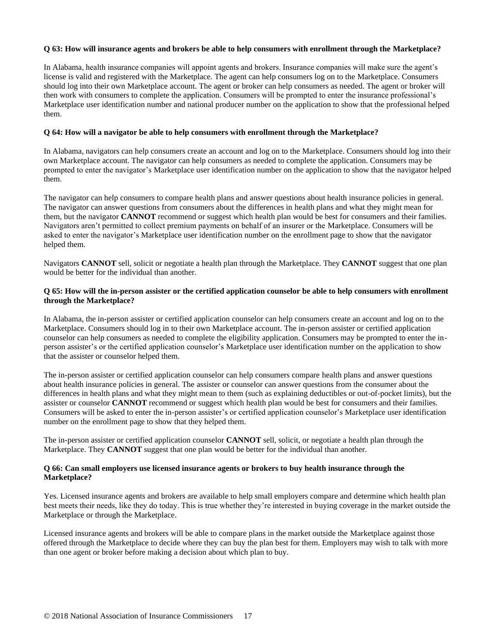## **Q 63: How will insurance agents and brokers be able to help consumers with enrollment through the Marketplace?**

In Alabama, health insurance companies will appoint agents and brokers. Insurance companies will make sure the agent's license is valid and registered with the Marketplace. The agent can help consumers log on to the Marketplace. Consumers should log into their own Marketplace account. The agent or broker can help consumers as needed. The agent or broker will then work with consumers to complete the application. Consumers will be prompted to enter the insurance professional's Marketplace user identification number and national producer number on the application to show that the professional helped them.

#### **Q 64: How will a navigator be able to help consumers with enrollment through the Marketplace?**

In Alabama, navigators can help consumers create an account and log on to the Marketplace. Consumers should log into their own Marketplace account. The navigator can help consumers as needed to complete the application. Consumers may be prompted to enter the navigator's Marketplace user identification number on the application to show that the navigator helped them.

The navigator can help consumers to compare health plans and answer questions about health insurance policies in general. The navigator can answer questions from consumers about the differences in health plans and what they might mean for them, but the navigator **CANNOT** recommend or suggest which health plan would be best for consumers and their families. Navigators aren't permitted to collect premium payments on behalf of an insurer or the Marketplace. Consumers will be asked to enter the navigator's Marketplace user identification number on the enrollment page to show that the navigator helped them.

Navigators **CANNOT** sell, solicit or negotiate a health plan through the Marketplace. They **CANNOT** suggest that one plan would be better for the individual than another.

#### **Q 65: How will the in-person assister or the certified application counselor be able to help consumers with enrollment through the Marketplace?**

In Alabama, the in-person assister or certified application counselor can help consumers create an account and log on to the Marketplace. Consumers should log in to their own Marketplace account. The in-person assister or certified application counselor can help consumers as needed to complete the eligibility application. Consumers may be prompted to enter the inperson assister's or the certified application counselor's Marketplace user identification number on the application to show that the assister or counselor helped them.

The in-person assister or certified application counselor can help consumers compare health plans and answer questions about health insurance policies in general. The assister or counselor can answer questions from the consumer about the differences in health plans and what they might mean to them (such as explaining deductibles or out-of-pocket limits), but the assister or counselor **CANNOT** recommend or suggest which health plan would be best for consumers and their families. Consumers will be asked to enter the in-person assister's or certified application counselor's Marketplace user identification number on the enrollment page to show that they helped them.

The in-person assister or certified application counselor **CANNOT** sell, solicit, or negotiate a health plan through the Marketplace. They **CANNOT** suggest that one plan would be better for the individual than another.

#### **Q 66: Can small employers use licensed insurance agents or brokers to buy health insurance through the Marketplace?**

Yes. Licensed insurance agents and brokers are available to help small employers compare and determine which health plan best meets their needs, like they do today. This is true whether they're interested in buying coverage in the market outside the Marketplace or through the Marketplace.

Licensed insurance agents and brokers will be able to compare plans in the market outside the Marketplace against those offered through the Marketplace to decide where they can buy the plan best for them. Employers may wish to talk with more than one agent or broker before making a decision about which plan to buy.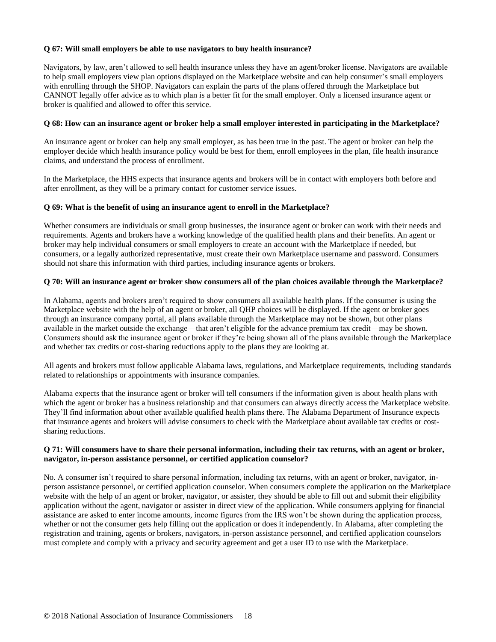## **Q 67: Will small employers be able to use navigators to buy health insurance?**

Navigators, by law, aren't allowed to sell health insurance unless they have an agent/broker license. Navigators are available to help small employers view plan options displayed on the Marketplace website and can help consumer's small employers with enrolling through the SHOP. Navigators can explain the parts of the plans offered through the Marketplace but CANNOT legally offer advice as to which plan is a better fit for the small employer. Only a licensed insurance agent or broker is qualified and allowed to offer this service.

#### **Q 68: How can an insurance agent or broker help a small employer interested in participating in the Marketplace?**

An insurance agent or broker can help any small employer, as has been true in the past. The agent or broker can help the employer decide which health insurance policy would be best for them, enroll employees in the plan, file health insurance claims, and understand the process of enrollment.

In the Marketplace, the HHS expects that insurance agents and brokers will be in contact with employers both before and after enrollment, as they will be a primary contact for customer service issues.

#### **Q 69: What is the benefit of using an insurance agent to enroll in the Marketplace?**

Whether consumers are individuals or small group businesses, the insurance agent or broker can work with their needs and requirements. Agents and brokers have a working knowledge of the qualified health plans and their benefits. An agent or broker may help individual consumers or small employers to create an account with the Marketplace if needed, but consumers, or a legally authorized representative, must create their own Marketplace username and password. Consumers should not share this information with third parties, including insurance agents or brokers.

#### **Q 70: Will an insurance agent or broker show consumers all of the plan choices available through the Marketplace?**

In Alabama, agents and brokers aren't required to show consumers all available health plans. If the consumer is using the Marketplace website with the help of an agent or broker, all QHP choices will be displayed. If the agent or broker goes through an insurance company portal, all plans available through the Marketplace may not be shown, but other plans available in the market outside the exchange—that aren't eligible for the advance premium tax credit—may be shown. Consumers should ask the insurance agent or broker if they're being shown all of the plans available through the Marketplace and whether tax credits or cost-sharing reductions apply to the plans they are looking at.

All agents and brokers must follow applicable Alabama laws, regulations, and Marketplace requirements, including standards related to relationships or appointments with insurance companies.

Alabama expects that the insurance agent or broker will tell consumers if the information given is about health plans with which the agent or broker has a business relationship and that consumers can always directly access the Marketplace website. They'll find information about other available qualified health plans there. The Alabama Department of Insurance expects that insurance agents and brokers will advise consumers to check with the Marketplace about available tax credits or costsharing reductions.

## **Q 71: Will consumers have to share their personal information, including their tax returns, with an agent or broker, navigator, in-person assistance personnel, or certified application counselor?**

No. A consumer isn't required to share personal information, including tax returns, with an agent or broker, navigator, inperson assistance personnel, or certified application counselor. When consumers complete the application on the Marketplace website with the help of an agent or broker, navigator, or assister, they should be able to fill out and submit their eligibility application without the agent, navigator or assister in direct view of the application. While consumers applying for financial assistance are asked to enter income amounts, income figures from the IRS won't be shown during the application process, whether or not the consumer gets help filling out the application or does it independently. In Alabama, after completing the registration and training, agents or brokers, navigators, in-person assistance personnel, and certified application counselors must complete and comply with a privacy and security agreement and get a user ID to use with the Marketplace.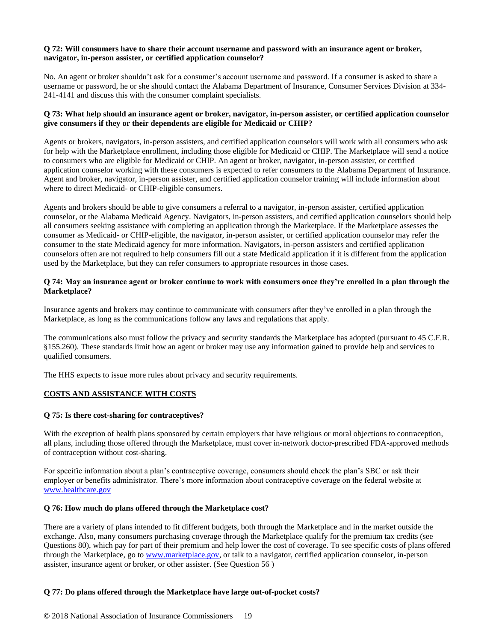## **Q 72: Will consumers have to share their account username and password with an insurance agent or broker, navigator, in-person assister, or certified application counselor?**

No. An agent or broker shouldn't ask for a consumer's account username and password. If a consumer is asked to share a username or password, he or she should contact the Alabama Department of Insurance, Consumer Services Division at 334- 241-4141 and discuss this with the consumer complaint specialists.

## **Q 73: What help should an insurance agent or broker, navigator, in-person assister, or certified application counselor give consumers if they or their dependents are eligible for Medicaid or CHIP?**

Agents or brokers, navigators, in-person assisters, and certified application counselors will work with all consumers who ask for help with the Marketplace enrollment, including those eligible for Medicaid or CHIP. The Marketplace will send a notice to consumers who are eligible for Medicaid or CHIP. An agent or broker, navigator, in-person assister, or certified application counselor working with these consumers is expected to refer consumers to the Alabama Department of Insurance. Agent and broker, navigator, in-person assister, and certified application counselor training will include information about where to direct Medicaid- or CHIP-eligible consumers.

Agents and brokers should be able to give consumers a referral to a navigator, in-person assister, certified application counselor, or the Alabama Medicaid Agency. Navigators, in-person assisters, and certified application counselors should help all consumers seeking assistance with completing an application through the Marketplace. If the Marketplace assesses the consumer as Medicaid- or CHIP-eligible, the navigator, in-person assister, or certified application counselor may refer the consumer to the state Medicaid agency for more information. Navigators, in-person assisters and certified application counselors often are not required to help consumers fill out a state Medicaid application if it is different from the application used by the Marketplace, but they can refer consumers to appropriate resources in those cases.

## **Q 74: May an insurance agent or broker continue to work with consumers once they're enrolled in a plan through the Marketplace?**

Insurance agents and brokers may continue to communicate with consumers after they've enrolled in a plan through the Marketplace, as long as the communications follow any laws and regulations that apply.

The communications also must follow the privacy and security standards the Marketplace has adopted (pursuant to 45 C.F.R. §155.260). These standards limit how an agent or broker may use any information gained to provide help and services to qualified consumers.

The HHS expects to issue more rules about privacy and security requirements.

## **COSTS AND ASSISTANCE WITH COSTS**

## **Q 75: Is there cost-sharing for contraceptives?**

With the exception of health plans sponsored by certain employers that have religious or moral objections to contraception, all plans, including those offered through the Marketplace, must cover in-network doctor-prescribed FDA-approved methods of contraception without cost-sharing.

For specific information about a plan's contraceptive coverage, consumers should check the plan's SBC or ask their employer or benefits administrator. There's more information about contraceptive coverage on the federal website at [www.healthcare.gov](http://www.healthcare.gov/)

## **Q 76: How much do plans offered through the Marketplace cost?**

There are a variety of plans intended to fit different budgets, both through the Marketplace and in the market outside the exchange. Also, many consumers purchasing coverage through the Marketplace qualify for the premium tax credits (see Questions 80), which pay for part of their premium and help lower the cost of coverage. To see specific costs of plans offered through the Marketplace, go to [www.marketplace.gov,](http://www.marketplace.gov/) or talk to a navigator, certified application counselor, in-person assister, insurance agent or broker, or other assister. (See Question 56 )

## **Q 77: Do plans offered through the Marketplace have large out-of-pocket costs?**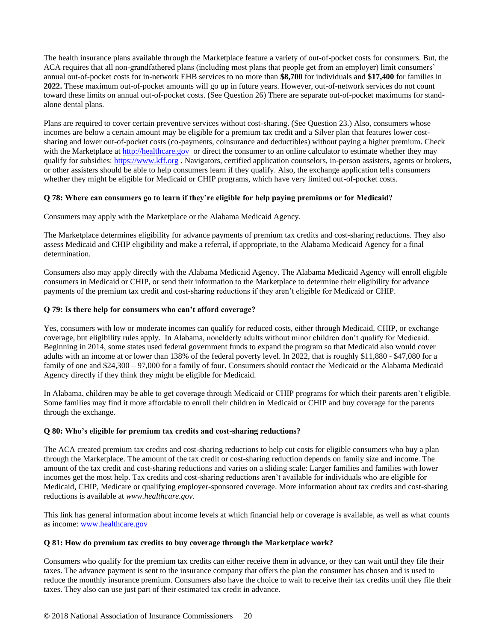The health insurance plans available through the Marketplace feature a variety of out-of-pocket costs for consumers. But, the ACA requires that all non-grandfathered plans (including most plans that people get from an employer) limit consumers' annual out-of-pocket costs for in-network EHB services to no more than **\$8,700** for individuals and **\$17,400** for families in **2022.** These maximum out-of-pocket amounts will go up in future years. However, out-of-network services do not count toward these limits on annual out-of-pocket costs. (See Question 26) There are separate out-of-pocket maximums for standalone dental plans.

Plans are required to cover certain preventive services without cost-sharing. (See Question 23.) Also, consumers whose incomes are below a certain amount may be eligible for a premium tax credit and a Silver plan that features lower costsharing and lower out-of-pocket costs (co-payments, coinsurance and deductibles) without paying a higher premium. Check with the Marketplace at [http://healthcare.gov](http://healthcare.gov/) or direct the consumer to an online calculator to estimate whether they may qualify for subsidies: [https://www.kff.org](https://www.kff.org/) . Navigators, certified application counselors, in-person assisters, agents or brokers, or other assisters should be able to help consumers learn if they qualify. Also, the exchange application tells consumers whether they might be eligible for Medicaid or CHIP programs, which have very limited out-of-pocket costs.

# **Q 78: Where can consumers go to learn if they're eligible for help paying premiums or for Medicaid?**

Consumers may apply with the Marketplace or the Alabama Medicaid Agency.

The Marketplace determines eligibility for advance payments of premium tax credits and cost-sharing reductions. They also assess Medicaid and CHIP eligibility and make a referral, if appropriate, to the Alabama Medicaid Agency for a final determination.

Consumers also may apply directly with the Alabama Medicaid Agency. The Alabama Medicaid Agency will enroll eligible consumers in Medicaid or CHIP, or send their information to the Marketplace to determine their eligibility for advance payments of the premium tax credit and cost-sharing reductions if they aren't eligible for Medicaid or CHIP.

## **Q 79: Is there help for consumers who can't afford coverage?**

Yes, consumers with low or moderate incomes can qualify for reduced costs, either through Medicaid, CHIP, or exchange coverage, but eligibility rules apply. In Alabama, nonelderly adults without minor children don't qualify for Medicaid. Beginning in 2014, some states used federal government funds to expand the program so that Medicaid also would cover adults with an income at or lower than 138% of the federal poverty level. In 2022, that is roughly \$11,880 - \$47,080 for a family of one and \$24,300 – 97,000 for a family of four. Consumers should contact the Medicaid or the Alabama Medicaid Agency directly if they think they might be eligible for Medicaid.

In Alabama, children may be able to get coverage through Medicaid or CHIP programs for which their parents aren't eligible. Some families may find it more affordable to enroll their children in Medicaid or CHIP and buy coverage for the parents through the exchange.

## **Q 80: Who's eligible for premium tax credits and cost-sharing reductions?**

The ACA created premium tax credits and cost-sharing reductions to help cut costs for eligible consumers who buy a plan through the Marketplace. The amount of the tax credit or cost-sharing reduction depends on family size and income. The amount of the tax credit and cost-sharing reductions and varies on a sliding scale: Larger families and families with lower incomes get the most help. Tax credits and cost-sharing reductions aren't available for individuals who are eligible for Medicaid, CHIP, Medicare or qualifying employer-sponsored coverage. More information about tax credits and cost-sharing reductions is available at *www.healthcare.gov*.

This link has general information about income levels at which financial help or coverage is available, as well as what counts as income[: www.healthcare.gov](http://www.healthcare.gov/)

## **Q 81: How do premium tax credits to buy coverage through the Marketplace work?**

Consumers who qualify for the premium tax credits can either receive them in advance, or they can wait until they file their taxes. The advance payment is sent to the insurance company that offers the plan the consumer has chosen and is used to reduce the monthly insurance premium. Consumers also have the choice to wait to receive their tax credits until they file their taxes. They also can use just part of their estimated tax credit in advance.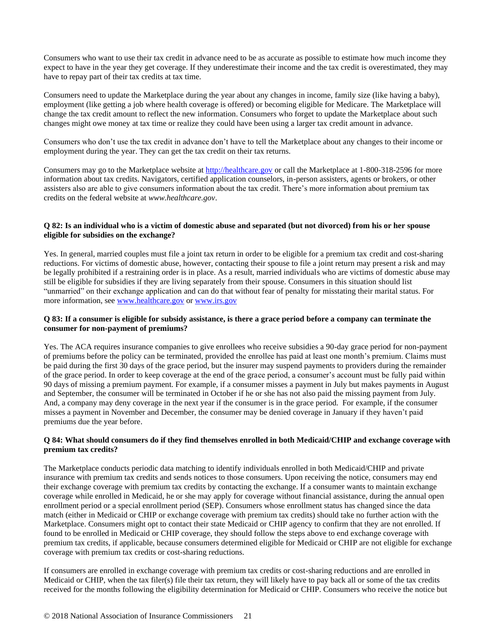Consumers who want to use their tax credit in advance need to be as accurate as possible to estimate how much income they expect to have in the year they get coverage. If they underestimate their income and the tax credit is overestimated, they may have to repay part of their tax credits at tax time.

Consumers need to update the Marketplace during the year about any changes in income, family size (like having a baby), employment (like getting a job where health coverage is offered) or becoming eligible for Medicare. The Marketplace will change the tax credit amount to reflect the new information. Consumers who forget to update the Marketplace about such changes might owe money at tax time or realize they could have been using a larger tax credit amount in advance.

Consumers who don't use the tax credit in advance don't have to tell the Marketplace about any changes to their income or employment during the year. They can get the tax credit on their tax returns.

Consumers may go to the Marketplace website at [http://healthcare.gov](http://healthcare.gov/) or call the Marketplace at 1-800-318-2596 for more information about tax credits. Navigators, certified application counselors, in-person assisters, agents or brokers, or other assisters also are able to give consumers information about the tax credit. There's more information about premium tax credits on the federal website at *www.healthcare.gov*.

#### **Q 82: Is an individual who is a victim of domestic abuse and separated (but not divorced) from his or her spouse eligible for subsidies on the exchange?**

Yes. In general, married couples must file a joint tax return in order to be eligible for a premium tax credit and cost-sharing reductions. For victims of domestic abuse, however, contacting their spouse to file a joint return may present a risk and may be legally prohibited if a restraining order is in place. As a result, married individuals who are victims of domestic abuse may still be eligible for subsidies if they are living separately from their spouse. Consumers in this situation should list "unmarried" on their exchange application and can do that without fear of penalty for misstating their marital status. For more information, see [www.healthcare.gov](http://www.healthcare.gov/) o[r www.irs.gov](http://www.irs.gov/)

## **Q 83: If a consumer is eligible for subsidy assistance, is there a grace period before a company can terminate the consumer for non-payment of premiums?**

Yes. The ACA requires insurance companies to give enrollees who receive subsidies a 90-day grace period for non-payment of premiums before the policy can be terminated, provided the enrollee has paid at least one month's premium. Claims must be paid during the first 30 days of the grace period, but the insurer may suspend payments to providers during the remainder of the grace period. In order to keep coverage at the end of the grace period, a consumer's account must be fully paid within 90 days of missing a premium payment. For example, if a consumer misses a payment in July but makes payments in August and September, the consumer will be terminated in October if he or she has not also paid the missing payment from July. And, a company may deny coverage in the next year if the consumer is in the grace period. For example, if the consumer misses a payment in November and December, the consumer may be denied coverage in January if they haven't paid premiums due the year before.

## **Q 84: What should consumers do if they find themselves enrolled in both Medicaid/CHIP and exchange coverage with premium tax credits?**

The Marketplace conducts periodic data matching to identify individuals enrolled in both Medicaid/CHIP and private insurance with premium tax credits and sends notices to those consumers. Upon receiving the notice, consumers may end their exchange coverage with premium tax credits by contacting the exchange. If a consumer wants to maintain exchange coverage while enrolled in Medicaid, he or she may apply for coverage without financial assistance, during the annual open enrollment period or a special enrollment period (SEP). Consumers whose enrollment status has changed since the data match (either in Medicaid or CHIP or exchange coverage with premium tax credits) should take no further action with the Marketplace. Consumers might opt to contact their state Medicaid or CHIP agency to confirm that they are not enrolled. If found to be enrolled in Medicaid or CHIP coverage, they should follow the steps above to end exchange coverage with premium tax credits, if applicable, because consumers determined eligible for Medicaid or CHIP are not eligible for exchange coverage with premium tax credits or cost-sharing reductions.

If consumers are enrolled in exchange coverage with premium tax credits or cost-sharing reductions and are enrolled in Medicaid or CHIP, when the tax filer(s) file their tax return, they will likely have to pay back all or some of the tax credits received for the months following the eligibility determination for Medicaid or CHIP. Consumers who receive the notice but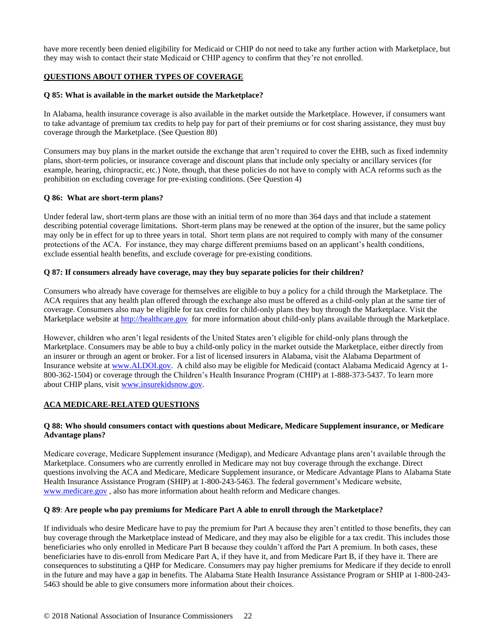have more recently been denied eligibility for Medicaid or CHIP do not need to take any further action with Marketplace, but they may wish to contact their state Medicaid or CHIP agency to confirm that they're not enrolled.

# **QUESTIONS ABOUT OTHER TYPES OF COVERAGE**

## **Q 85: What is available in the market outside the Marketplace?**

In Alabama, health insurance coverage is also available in the market outside the Marketplace. However, if consumers want to take advantage of premium tax credits to help pay for part of their premiums or for cost sharing assistance, they must buy coverage through the Marketplace. (See Question 80)

Consumers may buy plans in the market outside the exchange that aren't required to cover the EHB, such as fixed indemnity plans, short-term policies, or insurance coverage and discount plans that include only specialty or ancillary services (for example, hearing, chiropractic, etc.) Note, though, that these policies do not have to comply with ACA reforms such as the prohibition on excluding coverage for pre-existing conditions. (See Question 4)

## **Q 86: What are short-term plans?**

Under federal law, short-term plans are those with an initial term of no more than 364 days and that include a statement describing potential coverage limitations. Short-term plans may be renewed at the option of the insurer, but the same policy may only be in effect for up to three years in total. Short term plans are not required to comply with many of the consumer protections of the ACA. For instance, they may charge different premiums based on an applicant's health conditions, exclude essential health benefits, and exclude coverage for pre-existing conditions.

#### **Q 87: If consumers already have coverage, may they buy separate policies for their children?**

Consumers who already have coverage for themselves are eligible to buy a policy for a child through the Marketplace. The ACA requires that any health plan offered through the exchange also must be offered as a child-only plan at the same tier of coverage. Consumers also may be eligible for tax credits for child-only plans they buy through the Marketplace. Visit the Marketplace website at [http://healthcare.gov](http://healthcare.gov/) for more information about child-only plans available through the Marketplace.

However, children who aren't legal residents of the United States aren't eligible for child-only plans through the Marketplace. Consumers may be able to buy a child-only policy in the market outside the Marketplace, either directly from an insurer or through an agent or broker. For a list of licensed insurers in Alabama, visit the Alabama Department of Insurance website at [www.ALDOI.gov.](http://www.aldoi.gov/) A child also may be eligible for Medicaid (contact Alabama Medicaid Agency at 1- 800-362-1504) or coverage through the Children's Health Insurance Program (CHIP) at 1-888-373-5437. To learn more about CHIP plans, visit [www.insurekidsnow.gov](http://www.insurekidsnow.gov/)*.* 

## **ACA MEDICARE-RELATED QUESTIONS**

## **Q 88: Who should consumers contact with questions about Medicare, Medicare Supplement insurance, or Medicare Advantage plans?**

Medicare coverage, Medicare Supplement insurance (Medigap), and Medicare Advantage plans aren't available through the Marketplace. Consumers who are currently enrolled in Medicare may not buy coverage through the exchange. Direct questions involving the ACA and Medicare, Medicare Supplement insurance, or Medicare Advantage Plans to Alabama State Health Insurance Assistance Program (SHIP) at 1-800-243-5463. The federal government's Medicare website, [www.medicare.gov](http://www.medicare.gov/) , also has more information about health reform and Medicare changes.

#### **Q 89**: **Are people who pay premiums for Medicare Part A able to enroll through the Marketplace?**

If individuals who desire Medicare have to pay the premium for Part A because they aren't entitled to those benefits, they can buy coverage through the Marketplace instead of Medicare, and they may also be eligible for a tax credit. This includes those beneficiaries who only enrolled in Medicare Part B because they couldn't afford the Part A premium. In both cases, these beneficiaries have to dis-enroll from Medicare Part A, if they have it, and from Medicare Part B, if they have it. There are consequences to substituting a QHP for Medicare. Consumers may pay higher premiums for Medicare if they decide to enroll in the future and may have a gap in benefits. The Alabama State Health Insurance Assistance Program or SHIP at 1-800-243- 5463 should be able to give consumers more information about their choices.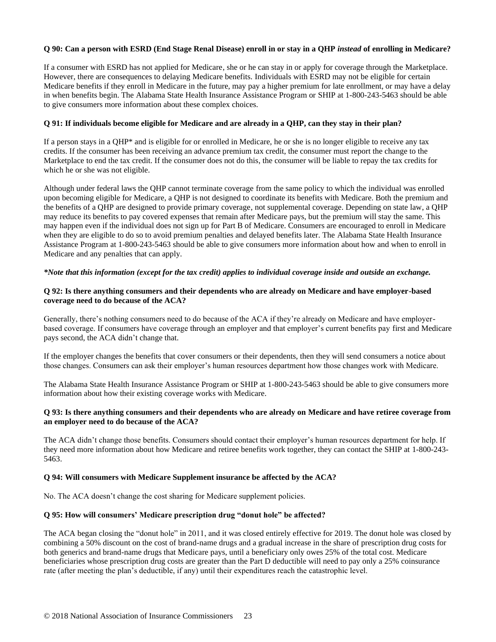## **Q 90: Can a person with ESRD (End Stage Renal Disease) enroll in or stay in a QHP** *instead* **of enrolling in Medicare?**

If a consumer with ESRD has not applied for Medicare, she or he can stay in or apply for coverage through the Marketplace. However, there are consequences to delaying Medicare benefits. Individuals with ESRD may not be eligible for certain Medicare benefits if they enroll in Medicare in the future, may pay a higher premium for late enrollment, or may have a delay in when benefits begin. The Alabama State Health Insurance Assistance Program or SHIP at 1-800-243-5463 should be able to give consumers more information about these complex choices.

#### **Q 91: If individuals become eligible for Medicare and are already in a QHP, can they stay in their plan?**

If a person stays in a QHP\* and is eligible for or enrolled in Medicare, he or she is no longer eligible to receive any tax credits. If the consumer has been receiving an advance premium tax credit, the consumer must report the change to the Marketplace to end the tax credit. If the consumer does not do this, the consumer will be liable to repay the tax credits for which he or she was not eligible.

Although under federal laws the QHP cannot terminate coverage from the same policy to which the individual was enrolled upon becoming eligible for Medicare, a QHP is not designed to coordinate its benefits with Medicare. Both the premium and the benefits of a QHP are designed to provide primary coverage, not supplemental coverage. Depending on state law, a QHP may reduce its benefits to pay covered expenses that remain after Medicare pays, but the premium will stay the same. This may happen even if the individual does not sign up for Part B of Medicare. Consumers are encouraged to enroll in Medicare when they are eligible to do so to avoid premium penalties and delayed benefits later. The Alabama State Health Insurance Assistance Program at 1-800-243-5463 should be able to give consumers more information about how and when to enroll in Medicare and any penalties that can apply.

#### *\*Note that this information (except for the tax credit) applies to individual coverage inside and outside an exchange.*

#### **Q 92: Is there anything consumers and their dependents who are already on Medicare and have employer-based coverage need to do because of the ACA?**

Generally, there's nothing consumers need to do because of the ACA if they're already on Medicare and have employerbased coverage. If consumers have coverage through an employer and that employer's current benefits pay first and Medicare pays second, the ACA didn't change that.

If the employer changes the benefits that cover consumers or their dependents, then they will send consumers a notice about those changes. Consumers can ask their employer's human resources department how those changes work with Medicare.

The Alabama State Health Insurance Assistance Program or SHIP at 1-800-243-5463 should be able to give consumers more information about how their existing coverage works with Medicare.

#### **Q 93: Is there anything consumers and their dependents who are already on Medicare and have retiree coverage from an employer need to do because of the ACA?**

The ACA didn't change those benefits. Consumers should contact their employer's human resources department for help. If they need more information about how Medicare and retiree benefits work together, they can contact the SHIP at 1-800-243- 5463.

#### **Q 94: Will consumers with Medicare Supplement insurance be affected by the ACA?**

No. The ACA doesn't change the cost sharing for Medicare supplement policies.

#### **Q 95: How will consumers' Medicare prescription drug "donut hole" be affected?**

The ACA began closing the "donut hole" in 2011, and it was closed entirely effective for 2019. The donut hole was closed by combining a 50% discount on the cost of brand-name drugs and a gradual increase in the share of prescription drug costs for both generics and brand-name drugs that Medicare pays, until a beneficiary only owes 25% of the total cost. Medicare beneficiaries whose prescription drug costs are greater than the Part D deductible will need to pay only a 25% coinsurance rate (after meeting the plan's deductible, if any) until their expenditures reach the catastrophic level.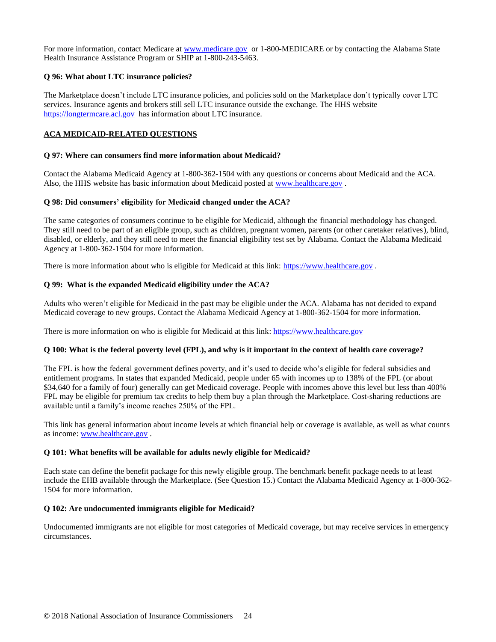For more information, contact Medicare at [www.medicare.gov](http://www.medicare.gov/) or 1-800-MEDICARE or by contacting the Alabama State Health Insurance Assistance Program or SHIP at 1-800-243-5463.

## **Q 96: What about LTC insurance policies?**

The Marketplace doesn't include LTC insurance policies, and policies sold on the Marketplace don't typically cover LTC services. Insurance agents and brokers still sell LTC insurance outside the exchange. The HHS website [https://longtermcare.acl.gov](https://longtermcare.acl.gov/) has information about LTC insurance.

## **ACA MEDICAID-RELATED QUESTIONS**

## **Q 97: Where can consumers find more information about Medicaid?**

Contact the Alabama Medicaid Agency at 1-800-362-1504 with any questions or concerns about Medicaid and the ACA. Also, the HHS website has basic information about Medicaid posted at [www.healthcare.gov](http://www.healthcare.gov/).

#### **Q 98: Did consumers' eligibility for Medicaid changed under the ACA?**

The same categories of consumers continue to be eligible for Medicaid, although the financial methodology has changed. They still need to be part of an eligible group, such as children, pregnant women, parents (or other caretaker relatives), blind, disabled, or elderly, and they still need to meet the financial eligibility test set by Alabama. Contact the Alabama Medicaid Agency at 1-800-362-1504 for more information.

There is more information about who is eligible for Medicaid at this link: [https://www.healthcare.gov](https://www.healthcare.gov/).

#### **Q 99: What is the expanded Medicaid eligibility under the ACA?**

Adults who weren't eligible for Medicaid in the past may be eligible under the ACA. Alabama has not decided to expand Medicaid coverage to new groups. Contact the Alabama Medicaid Agency at 1-800-362-1504 for more information.

There is more information on who is eligible for Medicaid at this link[: https://www.healthcare.gov](https://www.healthcare.gov/)

# **Q 100: What is the federal poverty level (FPL), and why is it important in the context of health care coverage?**

The FPL is how the federal government defines poverty, and it's used to decide who's eligible for federal subsidies and entitlement programs. In states that expanded Medicaid, people under 65 with incomes up to 138% of the FPL (or about \$34,640 for a family of four) generally can get Medicaid coverage. People with incomes above this level but less than 400% FPL may be eligible for premium tax credits to help them buy a plan through the Marketplace. Cost-sharing reductions are available until a family's income reaches 250% of the FPL.

This link has general information about income levels at which financial help or coverage is available, as well as what counts as income[: www.healthcare.gov](http://www.healthcare.gov/) .

## **Q 101: What benefits will be available for adults newly eligible for Medicaid?**

Each state can define the benefit package for this newly eligible group. The benchmark benefit package needs to at least include the EHB available through the Marketplace. (See Question 15.) Contact the Alabama Medicaid Agency at 1-800-362- 1504 for more information.

## **Q 102: Are undocumented immigrants eligible for Medicaid?**

Undocumented immigrants are not eligible for most categories of Medicaid coverage, but may receive services in emergency circumstances.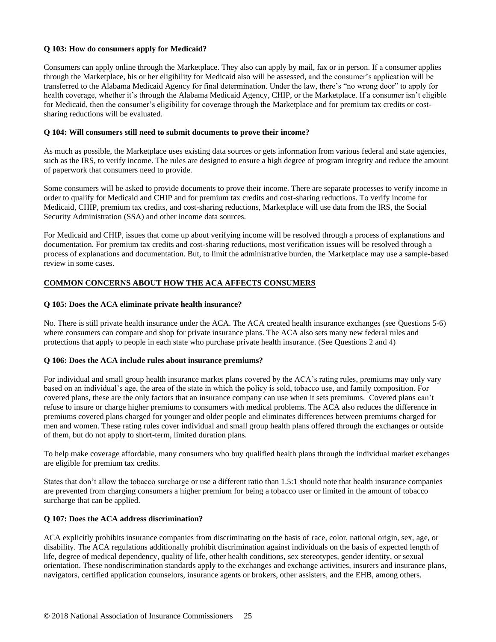## **Q 103: How do consumers apply for Medicaid?**

Consumers can apply online through the Marketplace. They also can apply by mail, fax or in person. If a consumer applies through the Marketplace, his or her eligibility for Medicaid also will be assessed, and the consumer's application will be transferred to the Alabama Medicaid Agency for final determination. Under the law, there's "no wrong door" to apply for health coverage, whether it's through the Alabama Medicaid Agency, CHIP, or the Marketplace. If a consumer isn't eligible for Medicaid, then the consumer's eligibility for coverage through the Marketplace and for premium tax credits or costsharing reductions will be evaluated.

#### **Q 104: Will consumers still need to submit documents to prove their income?**

As much as possible, the Marketplace uses existing data sources or gets information from various federal and state agencies, such as the IRS, to verify income. The rules are designed to ensure a high degree of program integrity and reduce the amount of paperwork that consumers need to provide.

Some consumers will be asked to provide documents to prove their income. There are separate processes to verify income in order to qualify for Medicaid and CHIP and for premium tax credits and cost-sharing reductions. To verify income for Medicaid, CHIP, premium tax credits, and cost-sharing reductions, Marketplace will use data from the IRS, the Social Security Administration (SSA) and other income data sources.

For Medicaid and CHIP, issues that come up about verifying income will be resolved through a process of explanations and documentation. For premium tax credits and cost-sharing reductions, most verification issues will be resolved through a process of explanations and documentation. But, to limit the administrative burden, the Marketplace may use a sample-based review in some cases.

# **COMMON CONCERNS ABOUT HOW THE ACA AFFECTS CONSUMERS**

#### **Q 105: Does the ACA eliminate private health insurance?**

No. There is still private health insurance under the ACA. The ACA created health insurance exchanges (see Questions 5-6) where consumers can compare and shop for private insurance plans. The ACA also sets many new federal rules and protections that apply to people in each state who purchase private health insurance. (See Questions 2 and 4)

#### **Q 106: Does the ACA include rules about insurance premiums?**

For individual and small group health insurance market plans covered by the ACA's rating rules, premiums may only vary based on an individual's age, the area of the state in which the policy is sold, tobacco use, and family composition. For covered plans, these are the only factors that an insurance company can use when it sets premiums. Covered plans can't refuse to insure or charge higher premiums to consumers with medical problems. The ACA also reduces the difference in premiums covered plans charged for younger and older people and eliminates differences between premiums charged for men and women. These rating rules cover individual and small group health plans offered through the exchanges or outside of them, but do not apply to short-term, limited duration plans.

To help make coverage affordable, many consumers who buy qualified health plans through the individual market exchanges are eligible for premium tax credits.

States that don't allow the tobacco surcharge or use a different ratio than 1.5:1 should note that health insurance companies are prevented from charging consumers a higher premium for being a tobacco user or limited in the amount of tobacco surcharge that can be applied.

## **Q 107: Does the ACA address discrimination?**

ACA explicitly prohibits insurance companies from discriminating on the basis of race, color, national origin, sex, age, or disability. The ACA regulations additionally prohibit discrimination against individuals on the basis of expected length of life, degree of medical dependency, quality of life, other health conditions, sex stereotypes, gender identity, or sexual orientation. These nondiscrimination standards apply to the exchanges and exchange activities, insurers and insurance plans, navigators, certified application counselors, insurance agents or brokers, other assisters, and the EHB, among others.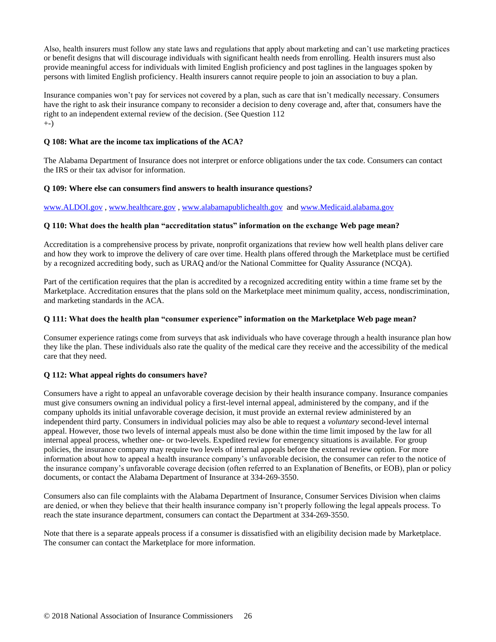Also, health insurers must follow any state laws and regulations that apply about marketing and can't use marketing practices or benefit designs that will discourage individuals with significant health needs from enrolling. Health insurers must also provide meaningful access for individuals with limited English proficiency and post taglines in the languages spoken by persons with limited English proficiency. Health insurers cannot require people to join an association to buy a plan.

Insurance companies won't pay for services not covered by a plan, such as care that isn't medically necessary. Consumers have the right to ask their insurance company to reconsider a decision to deny coverage and, after that, consumers have the right to an independent external review of the decision. (See Question 112 +-)

## **Q 108: What are the income tax implications of the ACA?**

The Alabama Department of Insurance does not interpret or enforce obligations under the tax code. Consumers can contact the IRS or their tax advisor for information.

#### **Q 109: Where else can consumers find answers to health insurance questions?**

[www.ALDOI.gov](http://www.aldoi.gov/) , [www.healthcare.gov](http://www.healthcare.gov/) , [www.alabamapublichealth.gov](http://www.alabamapublichealth.gov/) and [www.Medicaid.alabama.gov](http://www.medicaid.alabama.gov/)

#### **Q 110: What does the health plan "accreditation status" information on the exchange Web page mean?**

Accreditation is a comprehensive process by private, nonprofit organizations that review how well health plans deliver care and how they work to improve the delivery of care over time. Health plans offered through the Marketplace must be certified by a recognized accrediting body, such as URAQ and/or the National Committee for Quality Assurance (NCQA).

Part of the certification requires that the plan is accredited by a recognized accrediting entity within a time frame set by the Marketplace. Accreditation ensures that the plans sold on the Marketplace meet minimum quality, access, nondiscrimination, and marketing standards in the ACA.

#### **Q 111: What does the health plan "consumer experience" information on the Marketplace Web page mean?**

Consumer experience ratings come from surveys that ask individuals who have coverage through a health insurance plan how they like the plan. These individuals also rate the quality of the medical care they receive and the accessibility of the medical care that they need.

#### **Q 112: What appeal rights do consumers have?**

Consumers have a right to appeal an unfavorable coverage decision by their health insurance company. Insurance companies must give consumers owning an individual policy a first-level internal appeal, administered by the company, and if the company upholds its initial unfavorable coverage decision, it must provide an external review administered by an independent third party. Consumers in individual policies may also be able to request a *voluntary* second-level internal appeal. However, those two levels of internal appeals must also be done within the time limit imposed by the law for all internal appeal process, whether one- or two-levels. Expedited review for emergency situations is available. For group policies, the insurance company may require two levels of internal appeals before the external review option. For more information about how to appeal a health insurance company's unfavorable decision, the consumer can refer to the notice of the insurance company's unfavorable coverage decision (often referred to an Explanation of Benefits, or EOB), plan or policy documents, or contact the Alabama Department of Insurance at 334-269-3550.

Consumers also can file complaints with the Alabama Department of Insurance, Consumer Services Division when claims are denied, or when they believe that their health insurance company isn't properly following the legal appeals process. To reach the state insurance department, consumers can contact the Department at 334-269-3550.

Note that there is a separate appeals process if a consumer is dissatisfied with an eligibility decision made by Marketplace. The consumer can contact the Marketplace for more information.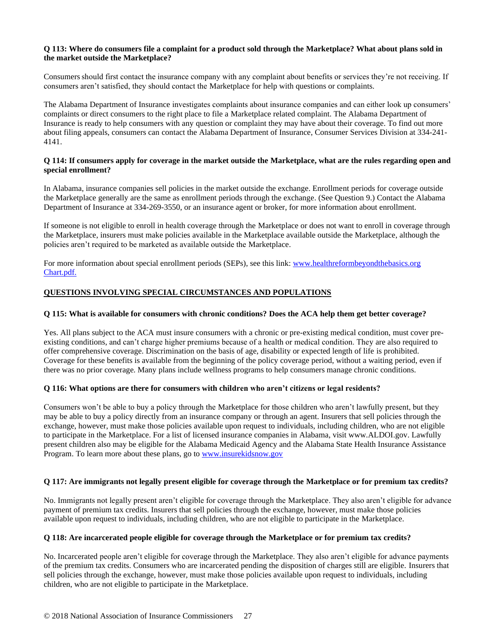## **Q 113: Where do consumers file a complaint for a product sold through the Marketplace? What about plans sold in the market outside the Marketplace?**

Consumers should first contact the insurance company with any complaint about benefits or services they're not receiving. If consumers aren't satisfied, they should contact the Marketplace for help with questions or complaints.

The Alabama Department of Insurance investigates complaints about insurance companies and can either look up consumers' complaints or direct consumers to the right place to file a Marketplace related complaint. The Alabama Department of Insurance is ready to help consumers with any question or complaint they may have about their coverage. To find out more about filing appeals, consumers can [contact the Alabama Department of Insurance,](http://www.naic.org/state_web_map.htm) Consumer Services Division at 334-241- 4141.

## **Q 114: If consumers apply for coverage in the market outside the Marketplace, what are the rules regarding open and special enrollment?**

In Alabama, insurance companies sell policies in the market outside the exchange. Enrollment periods for coverage outside the Marketplace generally are the same as enrollment periods through the exchange. (See Question 9.) Contact the Alabama Department of Insurance at 334-269-3550, or an insurance agent or broker, for more information about enrollment.

If someone is not eligible to enroll in health coverage through the Marketplace or does not want to enroll in coverage through the Marketplace, insurers must make policies available in the Marketplace available outside the Marketplace, although the policies aren't required to be marketed as available outside the Marketplace.

For more information about special enrollment periods (SEPs), see this link: www.healthreformbeyondthebasics.org [Chart.pdf.](https://www.cms.gov/CCIIO/Resources/Fact-Sheets-and-FAQs/IndexSummaryBenefitsCoverage) 

# **QUESTIONS INVOLVING SPECIAL CIRCUMSTANCES AND POPULATIONS**

## **Q 115: What is available for consumers with chronic conditions? Does the ACA help them get better coverage?**

Yes. All plans subject to the ACA must insure consumers with a chronic or pre-existing medical condition, must cover preexisting conditions, and can't charge higher premiums because of a health or medical condition. They are also required to offer comprehensive coverage. Discrimination on the basis of age, disability or expected length of life is prohibited. Coverage for these benefits is available from the beginning of the policy coverage period, without a waiting period, even if there was no prior coverage. Many plans include wellness programs to help consumers manage chronic conditions.

## **Q 116: What options are there for consumers with children who aren't citizens or legal residents?**

Consumers won't be able to buy a policy through the Marketplace for those children who aren't lawfully present, but they may be able to buy a policy directly from an insurance company or through an agent. Insurers that sell policies through the exchange, however, must make those policies available upon request to individuals, including children, who are not eligible to participate in the Marketplace. For a list of licensed insurance companies in Alabama, visit www.ALDOI.gov. Lawfully present children also may be eligible for the Alabama Medicaid Agency and the Alabama State Health Insurance Assistance Program. To learn more about these plans, go to [www.insurekidsnow.gov](http://www.insurekidsnow.gov/)

## **Q 117: Are immigrants not legally present eligible for coverage through the Marketplace or for premium tax credits?**

No. Immigrants not legally present aren't eligible for coverage through the Marketplace. They also aren't eligible for advance payment of premium tax credits. Insurers that sell policies through the exchange, however, must make those policies available upon request to individuals, including children, who are not eligible to participate in the Marketplace.

#### **Q 118: Are incarcerated people eligible for coverage through the Marketplace or for premium tax credits?**

No. Incarcerated people aren't eligible for coverage through the Marketplace. They also aren't eligible for advance payments of the premium tax credits. Consumers who are incarcerated pending the disposition of charges still are eligible. Insurers that sell policies through the exchange, however, must make those policies available upon request to individuals, including children, who are not eligible to participate in the Marketplace.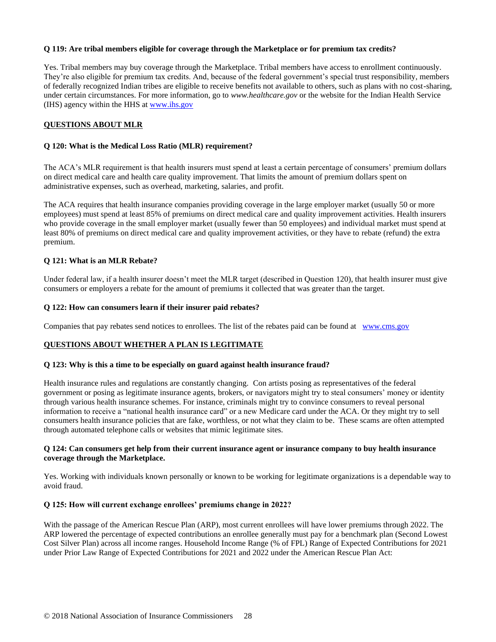## **Q 119: Are tribal members eligible for coverage through the Marketplace or for premium tax credits?**

Yes. Tribal members may buy coverage through the Marketplace. Tribal members have access to enrollment continuously. They're also eligible for premium tax credits. And, because of the federal government's special trust responsibility, members of federally recognized Indian tribes are eligible to receive benefits not available to others, such as plans with no cost-sharing, under certain circumstances. For more information, go to *www.healthcare.gov* or the website for the Indian Health Service (IHS) agency within the HHS at [www.ihs.gov](http://www.ihs.gov/)

## **QUESTIONS ABOUT MLR**

#### **Q 120: What is the Medical Loss Ratio (MLR) requirement?**

The ACA's MLR requirement is that health insurers must spend at least a certain percentage of consumers' premium dollars on direct medical care and health care quality improvement. That limits the amount of premium dollars spent on administrative expenses, such as overhead, marketing, salaries, and profit.

The ACA requires that health insurance companies providing coverage in the large employer market (usually 50 or more employees) must spend at least 85% of premiums on direct medical care and quality improvement activities. Health insurers who provide coverage in the small employer market (usually fewer than 50 employees) and individual market must spend at least 80% of premiums on direct medical care and quality improvement activities, or they have to rebate (refund) the extra premium.

#### **Q 121: What is an MLR Rebate?**

Under federal law, if a health insurer doesn't meet the MLR target (described in Question 120), that health insurer must give consumers or employers a rebate for the amount of premiums it collected that was greater than the target.

#### **Q 122: How can consumers learn if their insurer paid rebates?**

Companies that pay rebates send notices to enrollees. The list of the rebates paid can be found at [www.cms.gov](http://www.cms.gov/) 

#### **QUESTIONS ABOUT WHETHER A PLAN IS LEGITIMATE**

#### **Q 123: Why is this a time to be especially on guard against health insurance fraud?**

Health insurance rules and regulations are constantly changing. Con artists posing as representatives of the federal government or posing as legitimate insurance agents, brokers, or navigators might try to steal consumers' money or identity through various health insurance schemes. For instance, criminals might try to convince consumers to reveal personal information to receive a "national health insurance card" or a new Medicare card under the ACA. Or they might try to sell consumers health insurance policies that are fake, worthless, or not what they claim to be. These scams are often attempted through automated telephone calls or websites that mimic legitimate sites.

#### **Q 124: Can consumers get help from their current insurance agent or insurance company to buy health insurance coverage through the Marketplace.**

Yes. Working with individuals known personally or known to be working for legitimate organizations is a dependable way to avoid fraud.

#### **Q 125: How will current exchange enrollees' premiums change in 2022?**

With the passage of the American Rescue Plan (ARP), most current enrollees will have lower premiums through 2022. The ARP lowered the percentage of expected contributions an enrollee generally must pay for a benchmark plan (Second Lowest Cost Silver Plan) across all income ranges. Household Income Range (% of FPL) Range of Expected Contributions for 2021 under Prior Law Range of Expected Contributions for 2021 and 2022 under the American Rescue Plan Act: